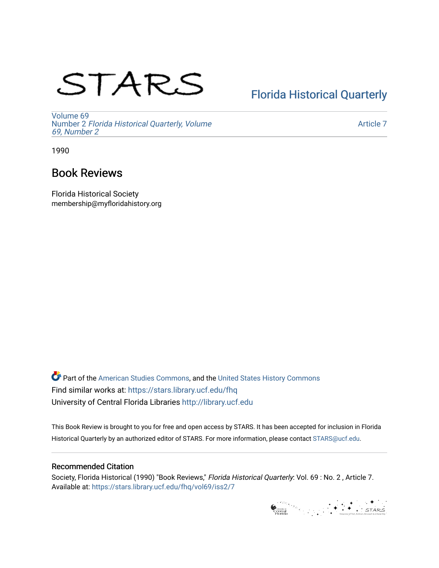# STARS

## [Florida Historical Quarterly](https://stars.library.ucf.edu/fhq)

[Volume 69](https://stars.library.ucf.edu/fhq/vol69) Number 2 [Florida Historical Quarterly, Volume](https://stars.library.ucf.edu/fhq/vol69/iss2)  [69, Number 2](https://stars.library.ucf.edu/fhq/vol69/iss2)

[Article 7](https://stars.library.ucf.edu/fhq/vol69/iss2/7) 

1990

## Book Reviews

Florida Historical Society membership@myfloridahistory.org

**C** Part of the [American Studies Commons](http://network.bepress.com/hgg/discipline/439?utm_source=stars.library.ucf.edu%2Ffhq%2Fvol69%2Fiss2%2F7&utm_medium=PDF&utm_campaign=PDFCoverPages), and the United States History Commons Find similar works at: <https://stars.library.ucf.edu/fhq> University of Central Florida Libraries [http://library.ucf.edu](http://library.ucf.edu/) 

This Book Review is brought to you for free and open access by STARS. It has been accepted for inclusion in Florida Historical Quarterly by an authorized editor of STARS. For more information, please contact [STARS@ucf.edu.](mailto:STARS@ucf.edu)

#### Recommended Citation

Society, Florida Historical (1990) "Book Reviews," Florida Historical Quarterly: Vol. 69 : No. 2 , Article 7. Available at: [https://stars.library.ucf.edu/fhq/vol69/iss2/7](https://stars.library.ucf.edu/fhq/vol69/iss2/7?utm_source=stars.library.ucf.edu%2Ffhq%2Fvol69%2Fiss2%2F7&utm_medium=PDF&utm_campaign=PDFCoverPages) 

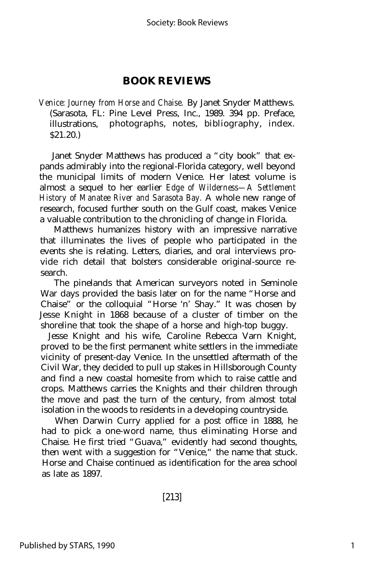*Venice: Journey from Horse and Chaise.* By Janet Snyder Matthews. (Sarasota, FL: Pine Level Press, Inc., 1989. 394 pp. Preface, illustrations, photographs, notes, bibliography, index. \$21.20.)

Janet Snyder Matthews has produced a "city book" that expands admirably into the regional-Florida category, well beyond the municipal limits of modern Venice. Her latest volume is almost a sequel to her earlier *Edge of Wilderness— A Settlement History of Manatee River and Sarasota Bay.* A whole new range of research, focused further south on the Gulf coast, makes Venice a valuable contribution to the chronicling of change in Florida.

Matthews humanizes history with an impressive narrative that illuminates the lives of people who participated in the events she is relating. Letters, diaries, and oral interviews provide rich detail that bolsters considerable original-source research.

The pinelands that American surveyors noted in Seminole War days provided the basis later on for the name "Horse and Chaise" or the colloquial "Horse 'n' Shay." It was chosen by Jesse Knight in 1868 because of a cluster of timber on the shoreline that took the shape of a horse and high-top buggy.

Jesse Knight and his wife, Caroline Rebecca Varn Knight, proved to be the first permanent white settlers in the immediate vicinity of present-day Venice. In the unsettled aftermath of the Civil War, they decided to pull up stakes in Hillsborough County and find a new coastal homesite from which to raise cattle and crops. Matthews carries the Knights and their children through the move and past the turn of the century, from almost total isolation in the woods to residents in a developing countryside.

When Darwin Curry applied for a post office in 1888, he had to pick a one-word name, thus eliminating Horse and Chaise. He first tried "Guava," evidently had second thoughts, then went with a suggestion for "Venice," the name that stuck. Horse and Chaise continued as identification for the area school as late as 1897.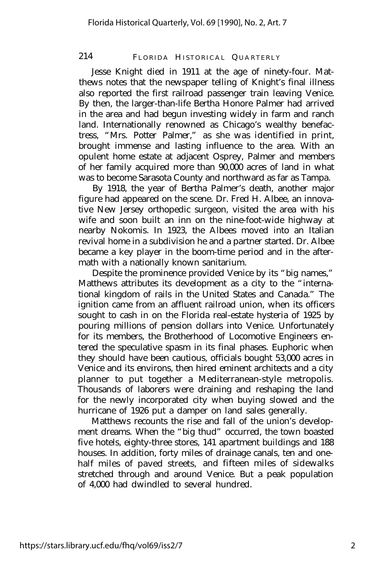Jesse Knight died in 1911 at the age of ninety-four. Matthews notes that the newspaper telling of Knight's final illness also reported the first railroad passenger train leaving Venice. By then, the larger-than-life Bertha Honore Palmer had arrived in the area and had begun investing widely in farm and ranch land. Internationally renowned as Chicago's wealthy benefactress, "Mrs. Potter Palmer," as she was identified in print, brought immense and lasting influence to the area. With an opulent home estate at adjacent Osprey, Palmer and members of her family acquired more than 90,000 acres of land in what was to become Sarasota County and northward as far as Tampa.

By 1918, the year of Bertha Palmer's death, another major figure had appeared on the scene. Dr. Fred H. Albee, an innovative New Jersey orthopedic surgeon, visited the area with his wife and soon built an inn on the nine-foot-wide highway at nearby Nokomis. In 1923, the Albees moved into an Italian revival home in a subdivision he and a partner started. Dr. Albee became a key player in the boom-time period and in the aftermath with a nationally known sanitarium.

Despite the prominence provided Venice by its "big names," Matthews attributes its development as a city to the "international kingdom of rails in the United States and Canada." The ignition came from an affluent railroad union, when its officers sought to cash in on the Florida real-estate hysteria of 1925 by pouring millions of pension dollars into Venice. Unfortunately for its members, the Brotherhood of Locomotive Engineers entered the speculative spasm in its final phases. Euphoric when they should have been cautious, officials bought 53,000 acres in Venice and its environs, then hired eminent architects and a city planner to put together a Mediterranean-style metropolis. Thousands of laborers were draining and reshaping the land for the newly incorporated city when buying slowed and the hurricane of 1926 put a damper on land sales generally.

Matthews recounts the rise and fall of the union's development dreams. When the "big thud" occurred, the town boasted five hotels, eighty-three stores, 141 apartment buildings and 188 houses. In addition, forty miles of drainage canals, ten and onehalf miles of paved streets, and fifteen miles of sidewalks stretched through and around Venice. But a peak population of 4,000 had dwindled to several hundred.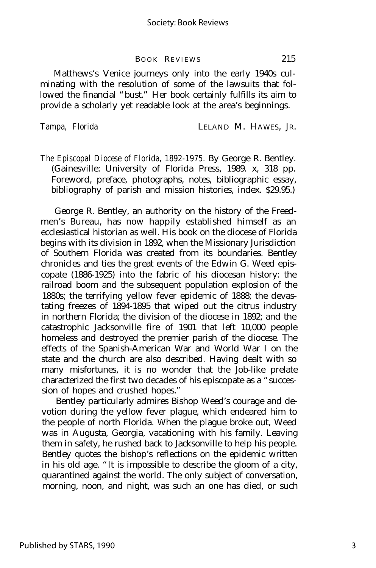Matthews's Venice journeys only into the early 1940s culminating with the resolution of some of the lawsuits that followed the financial "bust." Her book certainly fulfills its aim to provide a scholarly yet readable look at the area's beginnings.

*Tampa, Florida* LELAND M. HAWES, JR.

*The Episcopal Diocese of Florida, 1892-1975.* By George R. Bentley. (Gainesville: University of Florida Press, 1989. x, 318 pp. Foreword, preface, photographs, notes, bibliographic essay, bibliography of parish and mission histories, index. \$29.95.)

George R. Bentley, an authority on the history of the Freedmen's Bureau, has now happily established himself as an ecclesiastical historian as well. His book on the diocese of Florida begins with its division in 1892, when the Missionary Jurisdiction of Southern Florida was created from its boundaries. Bentley chronicles and ties the great events of the Edwin G. Weed episcopate (1886-1925) into the fabric of his diocesan history: the railroad boom and the subsequent population explosion of the 1880s; the terrifying yellow fever epidemic of 1888; the devastating freezes of 1894-1895 that wiped out the citrus industry in northern Florida; the division of the diocese in 1892; and the catastrophic Jacksonville fire of 1901 that left 10,000 people homeless and destroyed the premier parish of the diocese. The effects of the Spanish-American War and World War I on the state and the church are also described. Having dealt with so many misfortunes, it is no wonder that the Job-like prelate characterized the first two decades of his episcopate as a "succession of hopes and crushed hopes."

Bentley particularly admires Bishop Weed's courage and devotion during the yellow fever plague, which endeared him to the people of north Florida. When the plague broke out, Weed was in Augusta, Georgia, vacationing with his family. Leaving them in safety, he rushed back to Jacksonville to help his people. Bentley quotes the bishop's reflections on the epidemic written in his old age. "It is impossible to describe the gloom of a city, quarantined against the world. The only subject of conversation, morning, noon, and night, was such an one has died, or such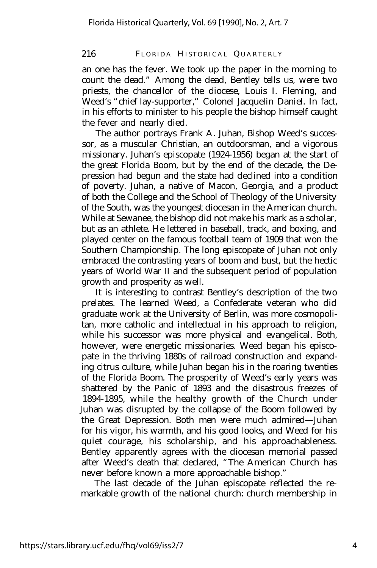an one has the fever. We took up the paper in the morning to count the dead." Among the dead, Bentley tells us, were two priests, the chancellor of the diocese, Louis I. Fleming, and Weed's "chief lay-supporter," Colonel Jacquelin Daniel. In fact, in his efforts to minister to his people the bishop himself caught the fever and nearly died.

The author portrays Frank A. Juhan, Bishop Weed's successor, as a muscular Christian, an outdoorsman, and a vigorous missionary. Juhan's episcopate (1924-1956) began at the start of the great Florida Boom, but by the end of the decade, the Depression had begun and the state had declined into a condition of poverty. Juhan, a native of Macon, Georgia, and a product of both the College and the School of Theology of the University of the South, was the youngest diocesan in the American church. While at Sewanee, the bishop did not make his mark as a scholar, but as an athlete. He lettered in baseball, track, and boxing, and played center on the famous football team of 1909 that won the Southern Championship. The long episcopate of Juhan not only embraced the contrasting years of boom and bust, but the hectic years of World War II and the subsequent period of population growth and prosperity as well.

It is interesting to contrast Bentley's description of the two prelates. The learned Weed, a Confederate veteran who did graduate work at the University of Berlin, was more cosmopolitan, more catholic and intellectual in his approach to religion, while his successor was more physical and evangelical. Both, however, were energetic missionaries. Weed began his episcopate in the thriving 1880s of railroad construction and expanding citrus culture, while Juhan began his in the roaring twenties of the Florida Boom. The prosperity of Weed's early years was shattered by the Panic of 1893 and the disastrous freezes of 1894-1895, while the healthy growth of the Church under Juhan was disrupted by the collapse of the Boom followed by the Great Depression. Both men were much admired— Juhan for his vigor, his warmth, and his good looks, and Weed for his quiet courage, his scholarship, and his approachableness. Bentley apparently agrees with the diocesan memorial passed after Weed's death that declared, "The American Church has never before known a more approachable bishop."

The last decade of the Juhan episcopate reflected the remarkable growth of the national church: church membership in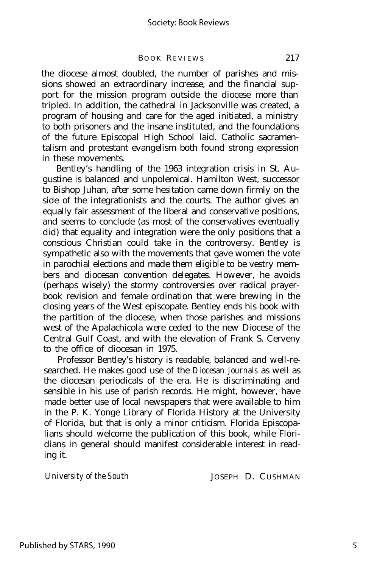the diocese almost doubled, the number of parishes and missions showed an extraordinary increase, and the financial support for the mission program outside the diocese more than tripled. In addition, the cathedral in Jacksonville was created, a program of housing and care for the aged initiated, a ministry to both prisoners and the insane instituted, and the foundations of the future Episcopal High School laid. Catholic sacramentalism and protestant evangelism both found strong expression in these movements.

Bentley's handling of the 1963 integration crisis in St. Augustine is balanced and unpolemical. Hamilton West, successor to Bishop Juhan, after some hesitation came down firmly on the side of the integrationists and the courts. The author gives an equally fair assessment of the liberal and conservative positions, and seems to conclude (as most of the conservatives eventually did) that equality and integration were the only positions that a conscious Christian could take in the controversy. Bentley is sympathetic also with the movements that gave women the vote in parochial elections and made them eligible to be vestry members and diocesan convention delegates. However, he avoids (perhaps wisely) the stormy controversies over radical prayerbook revision and female ordination that were brewing in the closing years of the West episcopate. Bentley ends his book with the partition of the diocese, when those parishes and missions west of the Apalachicola were ceded to the new Diocese of the Central Gulf Coast, and with the elevation of Frank S. Cerveny to the office of diocesan in 1975.

Professor Bentley's history is readable, balanced and well-researched. He makes good use of the *Diocesan Journals* as well as the diocesan periodicals of the era. He is discriminating and sensible in his use of parish records. He might, however, have made better use of local newspapers that were available to him in the P. K. Yonge Library of Florida History at the University of Florida, but that is only a minor criticism. Florida Episcopalians should welcome the publication of this book, while Floridians in general should manifest considerable interest in reading it.

*University of the South* JOSEPH D. CUSHMAN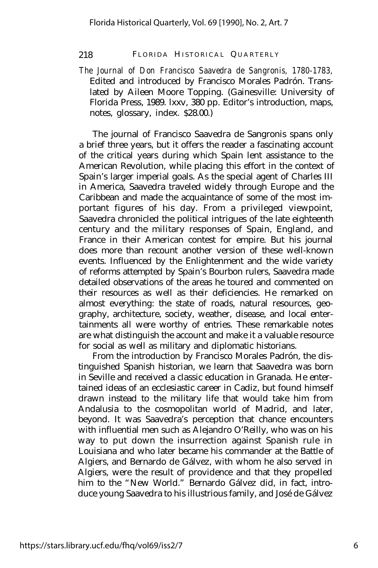*The Journal of Don Francisco Saavedra de Sangronis, 1780-1783,* Edited and introduced by Francisco Morales Padrón. Translated by Aileen Moore Topping. (Gainesville: University of Florida Press, 1989. lxxv, 380 pp. Editor's introduction, maps, notes, glossary, index. \$28.00.)

The journal of Francisco Saavedra de Sangronis spans only a brief three years, but it offers the reader a fascinating account of the critical years during which Spain lent assistance to the American Revolution, while placing this effort in the context of Spain's larger imperial goals. As the special agent of Charles III in America, Saavedra traveled widely through Europe and the Caribbean and made the acquaintance of some of the most important figures of his day. From a privileged viewpoint, Saavedra chronicled the political intrigues of the late eighteenth century and the military responses of Spain, England, and France in their American contest for empire. But his journal does more than recount another version of these well-known events. Influenced by the Enlightenment and the wide variety of reforms attempted by Spain's Bourbon rulers, Saavedra made detailed observations of the areas he toured and commented on their resources as well as their deficiencies. He remarked on almost everything: the state of roads, natural resources, geography, architecture, society, weather, disease, and local entertainments all were worthy of entries. These remarkable notes are what distinguish the account and make it a valuable resource for social as well as military and diplomatic historians.

From the introduction by Francisco Morales Padrón, the distinguished Spanish historian, we learn that Saavedra was born in Seville and received a classic education in Granada. He entertained ideas of an ecclesiastic career in Cadiz, but found himself drawn instead to the military life that would take him from Andalusia to the cosmopolitan world of Madrid, and later, beyond. It was Saavedra's perception that chance encounters with influential men such as Alejandro O'Reilly, who was on his way to put down the insurrection against Spanish rule in Louisiana and who later became his commander at the Battle of Algiers, and Bernardo de Gálvez, with whom he also served in Algiers, were the result of providence and that they propelled him to the "New World." Bernardo Gálvez did, in fact, introduce young Saavedra to his illustrious family, and José de Gálvez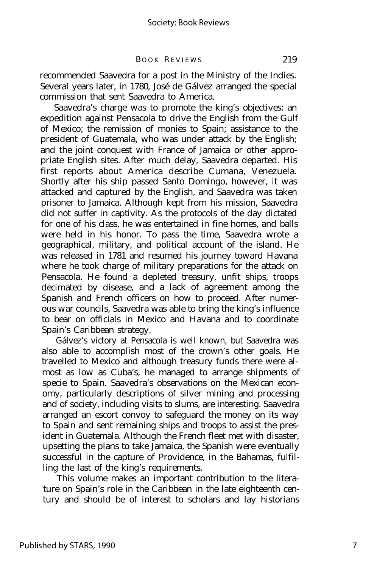recommended Saavedra for a post in the Ministry of the Indies. Several years later, in 1780, José de Gálvez arranged the special commission that sent Saavedra to America.

Saavedra's charge was to promote the king's objectives: an expedition against Pensacola to drive the English from the Gulf of Mexico; the remission of monies to Spain; assistance to the president of Guatemala, who was under attack by the English; and the joint conquest with France of Jamaica or other appropriate English sites. After much delay, Saavedra departed. His first reports about America describe Cumana, Venezuela. Shortly after his ship passed Santo Domingo, however, it was attacked and captured by the English, and Saavedra was taken prisoner to Jamaica. Although kept from his mission, Saavedra did not suffer in captivity. As the protocols of the day dictated for one of his class, he was entertained in fine homes, and balls were held in his honor. To pass the time, Saavedra wrote a geographical, military, and political account of the island. He was released in 1781 and resumed his journey toward Havana where he took charge of military preparations for the attack on Pensacola. He found a depleted treasury, unfit ships, troops decimated by disease, and a lack of agreement among the Spanish and French officers on how to proceed. After numerous war councils, Saavedra was able to bring the king's influence to bear on officials in Mexico and Havana and to coordinate Spain's Caribbean strategy.

Gálvez's victory at Pensacola is well known, but Saavedra was also able to accomplish most of the crown's other goals. He travelled to Mexico and although treasury funds there were almost as low as Cuba's, he managed to arrange shipments of specie to Spain. Saavedra's observations on the Mexican economy, particularly descriptions of silver mining and processing and of society, including visits to slums, are interesting. Saavedra arranged an escort convoy to safeguard the money on its way to Spain and sent remaining ships and troops to assist the president in Guatemala. Although the French fleet met with disaster, upsetting the plans to take Jamaica, the Spanish were eventually successful in the capture of Providence, in the Bahamas, fulfilling the last of the king's requirements.

This volume makes an important contribution to the literature on Spain's role in the Caribbean in the late eighteenth century and should be of interest to scholars and lay historians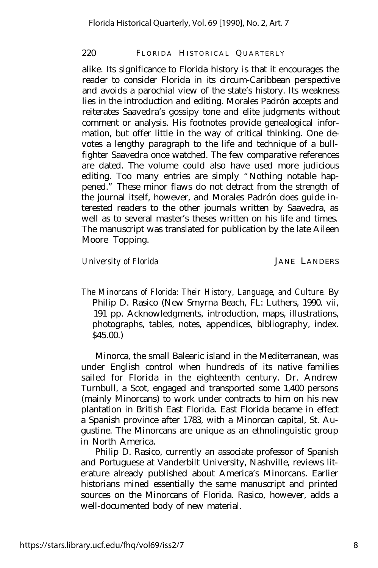alike. Its significance to Florida history is that it encourages the reader to consider Florida in its circum-Caribbean perspective and avoids a parochial view of the state's history. Its weakness lies in the introduction and editing. Morales Padrón accepts and reiterates Saavedra's gossipy tone and elite judgments without comment or analysis. His footnotes provide genealogical information, but offer little in the way of critical thinking. One devotes a lengthy paragraph to the life and technique of a bullfighter Saavedra once watched. The few comparative references are dated. The volume could also have used more judicious editing. Too many entries are simply "Nothing notable happened." These minor flaws do not detract from the strength of the journal itself, however, and Morales Padrón does guide interested readers to the other journals written by Saavedra, as well as to several master's theses written on his life and times. The manuscript was translated for publication by the late Aileen Moore Topping.

*University of Florida* JANE LANDERS

*The Minorcans of Florida: Their History, Language, and Culture.* By Philip D. Rasico (New Smyrna Beach, FL: Luthers, 1990. vii, 191 pp. Acknowledgments, introduction, maps, illustrations, photographs, tables, notes, appendices, bibliography, index. \$45.00.)

Minorca, the small Balearic island in the Mediterranean, was under English control when hundreds of its native families sailed for Florida in the eighteenth century. Dr. Andrew Turnbull, a Scot, engaged and transported some 1,400 persons (mainly Minorcans) to work under contracts to him on his new plantation in British East Florida. East Florida became in effect a Spanish province after 1783, with a Minorcan capital, St. Augustine. The Minorcans are unique as an ethnolinguistic group in North America.

Philip D. Rasico, currently an associate professor of Spanish and Portuguese at Vanderbilt University, Nashville, reviews literature already published about America's Minorcans. Earlier historians mined essentially the same manuscript and printed sources on the Minorcans of Florida. Rasico, however, adds a well-documented body of new material.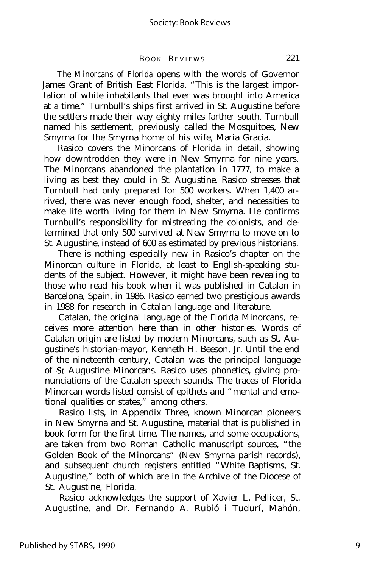*The Minorcans of Florida* opens with the words of Governor James Grant of British East Florida. "This is the largest importation of white inhabitants that ever was brought into America at a time." Turnbull's ships first arrived in St. Augustine before the settlers made their way eighty miles farther south. Turnbull named his settlement, previously called the Mosquitoes, New Smyrna for the Smyrna home of his wife, Maria Gracia.

Rasico covers the Minorcans of Florida in detail, showing how downtrodden they were in New Smyrna for nine years. The Minorcans abandoned the plantation in 1777, to make a living as best they could in St. Augustine. Rasico stresses that Turnbull had only prepared for 500 workers. When 1,400 arrived, there was never enough food, shelter, and necessities to make life worth living for them in New Smyrna. He confirms Turnbull's responsibility for mistreating the colonists, and determined that only 500 survived at New Smyrna to move on to St. Augustine, instead of 600 as estimated by previous historians.

There is nothing especially new in Rasico's chapter on the Minorcan culture in Florida, at least to English-speaking students of the subject. However, it might have been revealing to those who read his book when it was published in Catalan in Barcelona, Spain, in 1986. Rasico earned two prestigious awards in 1988 for research in Catalan language and literature.

Catalan, the original language of the Florida Minorcans, receives more attention here than in other histories. Words of Catalan origin are listed by modern Minorcans, such as St. Augustine's historian-mayor, Kenneth H. Beeson, Jr. Until the end of the nineteenth century, Catalan was the principal language of St Augustine Minorcans. Rasico uses phonetics, giving pronunciations of the Catalan speech sounds. The traces of Florida Minorcan words listed consist of epithets and "mental and emotional qualities or states," among others.

Rasico lists, in Appendix Three, known Minorcan pioneers in New Smyrna and St. Augustine, material that is published in book form for the first time. The names, and some occupations, are taken from two Roman Catholic manuscript sources, "the Golden Book of the Minorcans" (New Smyrna parish records), and subsequent church registers entitled "White Baptisms, St. Augustine," both of which are in the Archive of the Diocese of St. Augustine, Florida.

Rasico acknowledges the support of Xavier L. Pellicer, St. Augustine, and Dr. Fernando A. Rubió i Tudurí, Mahón,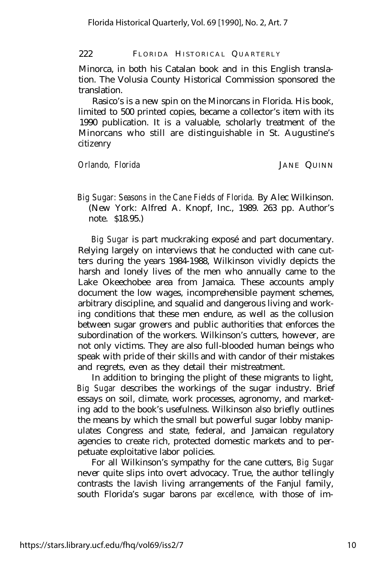Minorca, in both his Catalan book and in this English translation. The Volusia County Historical Commission sponsored the translation.

Rasico's is a new spin on the Minorcans in Florida. His book, limited to 500 printed copies, became a collector's item with its 1990 publication. It is a valuable, scholarly treatment of the Minorcans who still are distinguishable in St. Augustine's citizenry

*Orlando, Florida* JANE QUINN

*Big Sugar: Seasons in the Cane Fields of Florida.* By Alec Wilkinson. (New York: Alfred A. Knopf, Inc., 1989. 263 pp. Author's note. \$18.95.)

*Big Sugar* is part muckraking exposé and part documentary. Relying largely on interviews that he conducted with cane cutters during the years 1984-1988, Wilkinson vividly depicts the harsh and lonely lives of the men who annually came to the Lake Okeechobee area from Jamaica. These accounts amply document the low wages, incomprehensible payment schemes, arbitrary discipline, and squalid and dangerous living and working conditions that these men endure, as well as the collusion between sugar growers and public authorities that enforces the subordination of the workers. Wilkinson's cutters, however, are not only victims. They are also full-blooded human beings who speak with pride of their skills and with candor of their mistakes and regrets, even as they detail their mistreatment.

In addition to bringing the plight of these migrants to light, *Big Sugar* describes the workings of the sugar industry. Brief essays on soil, climate, work processes, agronomy, and marketing add to the book's usefulness. Wilkinson also briefly outlines the means by which the small but powerful sugar lobby manipulates Congress and state, federal, and Jamaican regulatory agencies to create rich, protected domestic markets and to perpetuate exploitative labor policies.

For all Wilkinson's sympathy for the cane cutters, *Big Sugar* never quite slips into overt advocacy. True, the author tellingly contrasts the lavish living arrangements of the Fanjul family, south Florida's sugar barons *par excellence,* with those of im-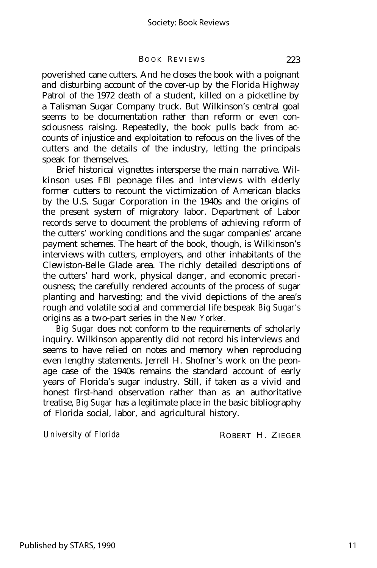poverished cane cutters. And he closes the book with a poignant and disturbing account of the cover-up by the Florida Highway Patrol of the 1972 death of a student, killed on a picketline by a Talisman Sugar Company truck. But Wilkinson's central goal seems to be documentation rather than reform or even consciousness raising. Repeatedly, the book pulls back from accounts of injustice and exploitation to refocus on the lives of the cutters and the details of the industry, letting the principals speak for themselves.

Brief historical vignettes intersperse the main narrative. Wilkinson uses FBI peonage files and interviews with elderly former cutters to recount the victimization of American blacks by the U.S. Sugar Corporation in the 1940s and the origins of the present system of migratory labor. Department of Labor records serve to document the problems of achieving reform of the cutters' working conditions and the sugar companies' arcane payment schemes. The heart of the book, though, is Wilkinson's interviews with cutters, employers, and other inhabitants of the Clewiston-Belle Glade area. The richly detailed descriptions of the cutters' hard work, physical danger, and economic precariousness; the carefully rendered accounts of the process of sugar planting and harvesting; and the vivid depictions of the area's rough and volatile social and commercial life bespeak *Big Sugar's* origins as a two-part series in the *New Yorker.*

*Big Sugar* does not conform to the requirements of scholarly inquiry. Wilkinson apparently did not record his interviews and seems to have relied on notes and memory when reproducing even lengthy statements. Jerrell H. Shofner's work on the peonage case of the 1940s remains the standard account of early years of Florida's sugar industry. Still, if taken as a vivid and honest first-hand observation rather than as an authoritative treatise, *Big Sugar* has a legitimate place in the basic bibliography of Florida social, labor, and agricultural history.

*University of Florida* ROBERT H. ZIEGER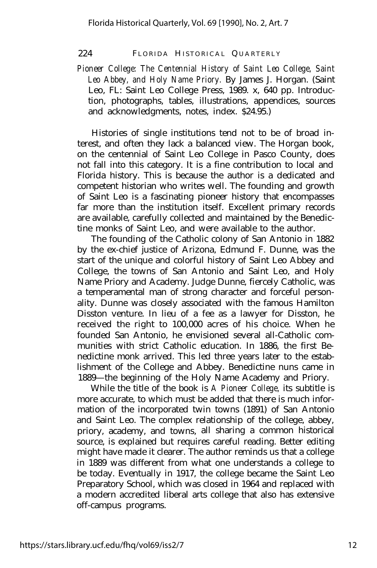*Pioneer College: The Centennial History of Saint Leo College, Saint Leo Abbey, and Holy Name Priory.* By James J. Horgan. (Saint Leo, FL: Saint Leo College Press, 1989. x, 640 pp. Introduction, photographs, tables, illustrations, appendices, sources and acknowledgments, notes, index. \$24.95.)

Histories of single institutions tend not to be of broad interest, and often they lack a balanced view. The Horgan book, on the centennial of Saint Leo College in Pasco County, does not fall into this category. It is a fine contribution to local and Florida history. This is because the author is a dedicated and competent historian who writes well. The founding and growth of Saint Leo is a fascinating pioneer history that encompasses far more than the institution itself. Excellent primary records are available, carefully collected and maintained by the Benedictine monks of Saint Leo, and were available to the author.

The founding of the Catholic colony of San Antonio in 1882 by the ex-chief justice of Arizona, Edmund F. Dunne, was the start of the unique and colorful history of Saint Leo Abbey and College, the towns of San Antonio and Saint Leo, and Holy Name Priory and Academy. Judge Dunne, fiercely Catholic, was a temperamental man of strong character and forceful personality. Dunne was closely associated with the famous Hamilton Disston venture. In lieu of a fee as a lawyer for Disston, he received the right to 100,000 acres of his choice. When he founded San Antonio, he envisioned several all-Catholic communities with strict Catholic education. In 1886, the first Benedictine monk arrived. This led three years later to the establishment of the College and Abbey. Benedictine nuns came in 1889— the beginning of the Holy Name Academy and Priory.

While the title of the book is *A Pioneer College,* its subtitle is more accurate, to which must be added that there is much information of the incorporated twin towns (1891) of San Antonio and Saint Leo. The complex relationship of the college, abbey, priory, academy, and towns, all sharing a common historical source, is explained but requires careful reading. Better editing might have made it clearer. The author reminds us that a college in 1889 was different from what one understands a college to be today. Eventually in 1917, the college became the Saint Leo Preparatory School, which was closed in 1964 and replaced with a modern accredited liberal arts college that also has extensive off-campus programs.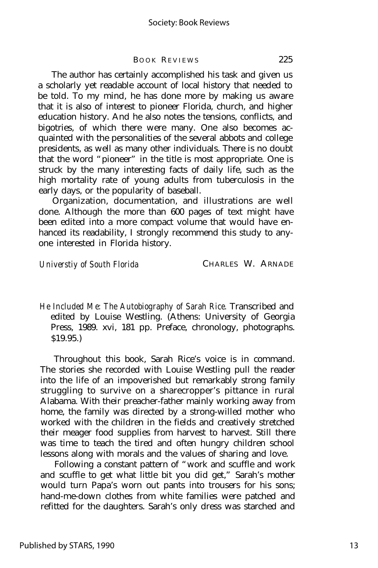The author has certainly accomplished his task and given us a scholarly yet readable account of local history that needed to be told. To my mind, he has done more by making us aware that it is also of interest to pioneer Florida, church, and higher education history. And he also notes the tensions, conflicts, and bigotries, of which there were many. One also becomes acquainted with the personalities of the several abbots and college presidents, as well as many other individuals. There is no doubt that the word "pioneer" in the title is most appropriate. One is struck by the many interesting facts of daily life, such as the high mortality rate of young adults from tuberculosis in the early days, or the popularity of baseball.

Organization, documentation, and illustrations are well done. Although the more than 600 pages of text might have been edited into a more compact volume that would have enhanced its readability, I strongly recommend this study to anyone interested in Florida history.

*Universtiy of South Florida* CHARLES W. ARNADE

*He Included Me: The Autobiography of Sarah Rice.* Transcribed and edited by Louise Westling. (Athens: University of Georgia Press, 1989. xvi, 181 pp. Preface, chronology, photographs. \$19.95.)

Throughout this book, Sarah Rice's voice is in command. The stories she recorded with Louise Westling pull the reader into the life of an impoverished but remarkably strong family struggling to survive on a sharecropper's pittance in rural Alabama. With their preacher-father mainly working away from home, the family was directed by a strong-willed mother who worked with the children in the fields and creatively stretched their meager food supplies from harvest to harvest. Still there was time to teach the tired and often hungry children school lessons along with morals and the values of sharing and love.

Following a constant pattern of "work and scuffle and work and scuffle to get what little bit you did get," Sarah's mother would turn Papa's worn out pants into trousers for his sons; hand-me-down clothes from white families were patched and refitted for the daughters. Sarah's only dress was starched and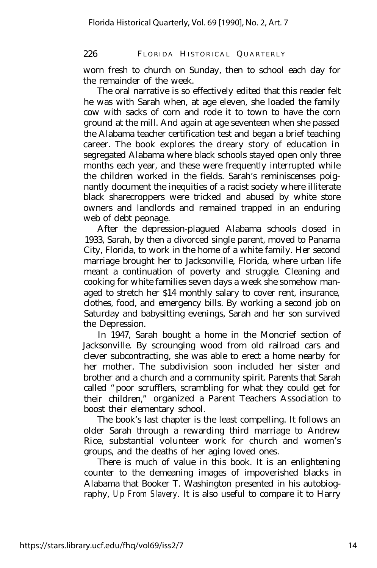worn fresh to church on Sunday, then to school each day for the remainder of the week.

The oral narrative is so effectively edited that this reader felt he was with Sarah when, at age eleven, she loaded the family cow with sacks of corn and rode it to town to have the corn ground at the mill. And again at age seventeen when she passed the Alabama teacher certification test and began a brief teaching career. The book explores the dreary story of education in segregated Alabama where black schools stayed open only three months each year, and these were frequently interrupted while the children worked in the fields. Sarah's reminiscenses poignantly document the inequities of a racist society where illiterate black sharecroppers were tricked and abused by white store owners and landlords and remained trapped in an enduring web of debt peonage.

After the depression-plagued Alabama schools closed in 1933, Sarah, by then a divorced single parent, moved to Panama City, Florida, to work in the home of a white family. Her second marriage brought her to Jacksonville, Florida, where urban life meant a continuation of poverty and struggle. Cleaning and cooking for white families seven days a week she somehow managed to stretch her \$14 monthly salary to cover rent, insurance, clothes, food, and emergency bills. By working a second job on Saturday and babysitting evenings, Sarah and her son survived the Depression.

In 1947, Sarah bought a home in the Moncrief section of Jacksonville. By scrounging wood from old railroad cars and clever subcontracting, she was able to erect a home nearby for her mother. The subdivision soon included her sister and brother and a church and a community spirit. Parents that Sarah called "poor scrufflers, scrambling for what they could get for their children," organized a Parent Teachers Association to boost their elementary school.

The book's last chapter is the least compelling. It follows an older Sarah through a rewarding third marriage to Andrew Rice, substantial volunteer work for church and women's groups, and the deaths of her aging loved ones.

There is much of value in this book. It is an enlightening counter to the demeaning images of impoverished blacks in Alabama that Booker T. Washington presented in his autobiography, *Up From Slavery.* It is also useful to compare it to Harry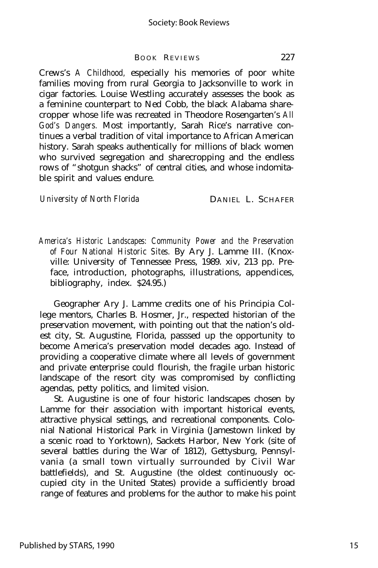Crews's *A Childhood,* especially his memories of poor white families moving from rural Georgia to Jacksonville to work in cigar factories. Louise Westling accurately assesses the book as a feminine counterpart to Ned Cobb, the black Alabama sharecropper whose life was recreated in Theodore Rosengarten's *All God's Dangers.* Most importantly, Sarah Rice's narrative continues a verbal tradition of vital importance to African American history. Sarah speaks authentically for millions of black women who survived segregation and sharecropping and the endless rows of "shotgun shacks" of central cities, and whose indomitable spirit and values endure.

*University of North Florida* DANIEL L. SCHAFER

*America's Historic Landscapes: Community Power and the Preservation of Four National Historic Sites.* By Ary J. Lamme III. (Knoxville: University of Tennessee Press, 1989. xiv, 213 pp. Preface, introduction, photographs, illustrations, appendices, bibliography, index. \$24.95.)

Geographer Ary J. Lamme credits one of his Principia College mentors, Charles B. Hosmer, Jr., respected historian of the preservation movement, with pointing out that the nation's oldest city, St. Augustine, Florida, passsed up the opportunity to become America's preservation model decades ago. Instead of providing a cooperative climate where all levels of government and private enterprise could flourish, the fragile urban historic landscape of the resort city was compromised by conflicting agendas, petty politics, and limited vision.

St. Augustine is one of four historic landscapes chosen by Lamme for their association with important historical events, attractive physical settings, and recreational components. Colonial National Historical Park in Virginia (Jamestown linked by a scenic road to Yorktown), Sackets Harbor, New York (site of several battles during the War of 1812), Gettysburg, Pennsylvania (a small town virtually surrounded by Civil War battlefields), and St. Augustine (the oldest continuously occupied city in the United States) provide a sufficiently broad range of features and problems for the author to make his point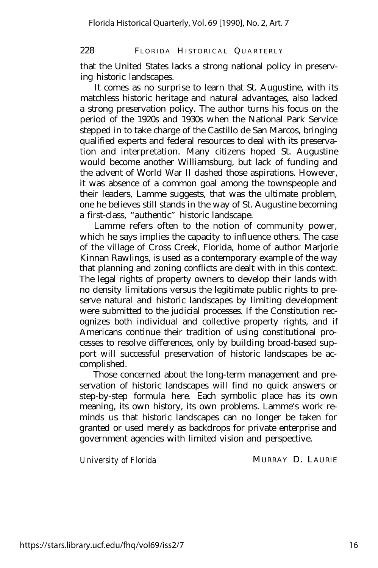that the United States lacks a strong national policy in preserving historic landscapes.

It comes as no surprise to learn that St. Augustine, with its matchless historic heritage and natural advantages, also lacked a strong preservation policy. The author turns his focus on the period of the 1920s and 1930s when the National Park Service stepped in to take charge of the Castillo de San Marcos, bringing qualified experts and federal resources to deal with its preservation and interpretation. Many citizens hoped St. Augustine would become another Williamsburg, but lack of funding and the advent of World War II dashed those aspirations. However, it was absence of a common goal among the townspeople and their leaders, Lamme suggests, that was the ultimate problem, one he believes still stands in the way of St. Augustine becoming a first-class, "authentic" historic landscape.

Lamme refers often to the notion of community power, which he says implies the capacity to influence others. The case of the village of Cross Creek, Florida, home of author Marjorie Kinnan Rawlings, is used as a contemporary example of the way that planning and zoning conflicts are dealt with in this context. The legal rights of property owners to develop their lands with no density limitations versus the legitimate public rights to preserve natural and historic landscapes by limiting development were submitted to the judicial processes. If the Constitution recognizes both individual and collective property rights, and if Americans continue their tradition of using constitutional processes to resolve differences, only by building broad-based support will successful preservation of historic landscapes be accomplished.

Those concerned about the long-term management and preservation of historic landscapes will find no quick answers or step-by-step formula here. Each symbolic place has its own meaning, its own history, its own problems. Lamme's work reminds us that historic landscapes can no longer be taken for granted or used merely as backdrops for private enterprise and government agencies with limited vision and perspective.

*University of Florida* MURRAY D. LAURIE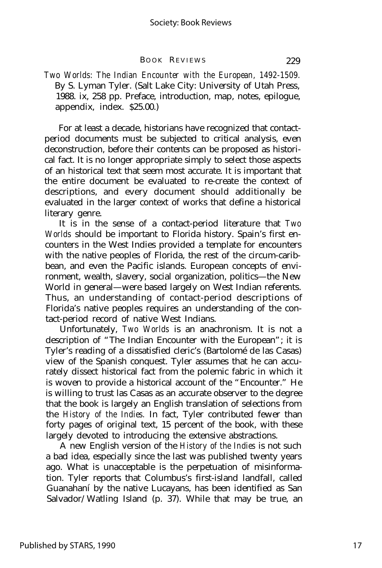*Two Worlds: The Indian Encounter with the European, 1492-1509.* By S. Lyman Tyler. (Salt Lake City: University of Utah Press, 1988. ix, 258 pp. Preface, introduction, map, notes, epilogue, appendix, index. \$25.00.)

For at least a decade, historians have recognized that contactperiod documents must be subjected to critical analysis, even deconstruction, before their contents can be proposed as historical fact. It is no longer appropriate simply to select those aspects of an historical text that seem most accurate. It is important that the entire document be evaluated to re-create the context of descriptions, and every document should additionally be evaluated in the larger context of works that define a historical literary genre.

It is in the sense of a contact-period literature that *Two Worlds* should be important to Florida history. Spain's first encounters in the West Indies provided a template for encounters with the native peoples of Florida, the rest of the circum-caribbean, and even the Pacific islands. European concepts of environment, wealth, slavery, social organization, politics— the New World in general— were based largely on West Indian referents. Thus, an understanding of contact-period descriptions of Florida's native peoples requires an understanding of the contact-period record of native West Indians.

Unfortunately, *Two Worlds* is an anachronism. It is not a description of "The Indian Encounter with the European"; it is Tyler's reading of a dissatisfied cleric's (Bartolomé de las Casas) view of the Spanish conquest. Tyler assumes that he can accurately dissect historical fact from the polemic fabric in which it is woven to provide a historical account of the "Encounter." He is willing to trust las Casas as an accurate observer to the degree that the book is largely an English translation of selections from the *History of the Indies.* In fact, Tyler contributed fewer than forty pages of original text, 15 percent of the book, with these largely devoted to introducing the extensive abstractions.

A new English version of the *History of the Indies* is not such a bad idea, especially since the last was published twenty years ago. What is unacceptable is the perpetuation of misinformation. Tyler reports that Columbus's first-island landfall, called Guanahaní by the native Lucayans, has been identified as San Salvador/Watling Island (p. 37). While that may be true, an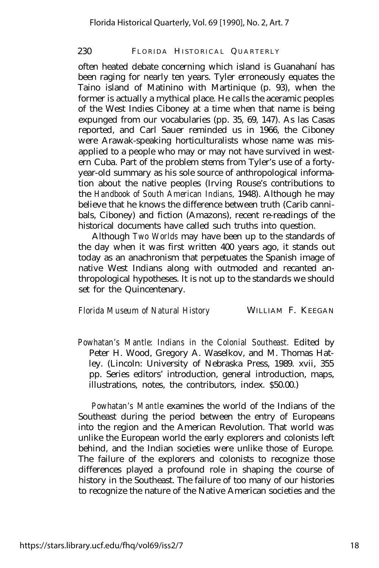often heated debate concerning which island is Guanahaní has been raging for nearly ten years. Tyler erroneously equates the Taino island of Matinino with Martinique (p. 93), when the former is actually a mythical place. He calls the aceramic peoples of the West Indies Ciboney at a time when that name is being expunged from our vocabularies (pp. 35, 69, 147). As las Casas reported, and Carl Sauer reminded us in 1966, the Ciboney were Arawak-speaking horticulturalists whose name was misapplied to a people who may or may not have survived in western Cuba. Part of the problem stems from Tyler's use of a fortyyear-old summary as his sole source of anthropological information about the native peoples (Irving Rouse's contributions to the *Handbook of South American Indians,* 1948). Although he may believe that he knows the difference between truth (Carib cannibals, Ciboney) and fiction (Amazons), recent re-readings of the historical documents have called such truths into question.

Although *Two Worlds* may have been up to the standards of the day when it was first written 400 years ago, it stands out today as an anachronism that perpetuates the Spanish image of native West Indians along with outmoded and recanted anthropological hypotheses. It is not up to the standards we should set for the Quincentenary.

### *Florida Museum of Natural History* WILLIAM F. KEEGAN

*Powhatan's Mantle: Indians in the Colonial Southeast.* Edited by Peter H. Wood, Gregory A. Waselkov, and M. Thomas Hatley. (Lincoln: University of Nebraska Press, 1989. xvii, 355 pp. Series editors' introduction, general introduction, maps, illustrations, notes, the contributors, index. \$50.00.)

*Powhatan's Mantle* examines the world of the Indians of the Southeast during the period between the entry of Europeans into the region and the American Revolution. That world was unlike the European world the early explorers and colonists left behind, and the Indian societies were unlike those of Europe. The failure of the explorers and colonists to recognize those differences played a profound role in shaping the course of history in the Southeast. The failure of too many of our histories to recognize the nature of the Native American societies and the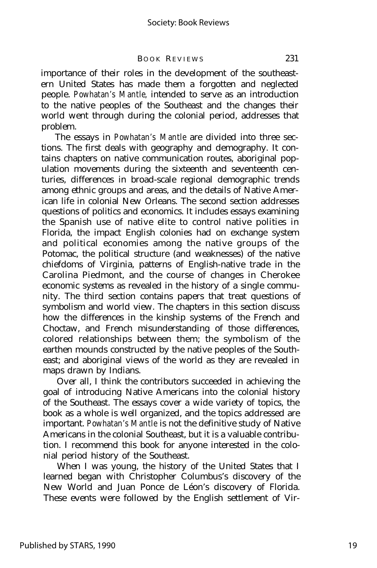importance of their roles in the development of the southeastern United States has made them a forgotten and neglected people. *Powhatan's Mantle,* intended to serve as an introduction to the native peoples of the Southeast and the changes their world went through during the colonial period, addresses that problem.

The essays in *Powhatan's Mantle* are divided into three sections. The first deals with geography and demography. It contains chapters on native communication routes, aboriginal population movements during the sixteenth and seventeenth centuries, differences in broad-scale regional demographic trends among ethnic groups and areas, and the details of Native American life in colonial New Orleans. The second section addresses questions of politics and economics. It includes essays examining the Spanish use of native elite to control native polities in Florida, the impact English colonies had on exchange system and political economies among the native groups of the Potomac, the political structure (and weaknesses) of the native chiefdoms of Virginia, patterns of English-native trade in the Carolina Piedmont, and the course of changes in Cherokee economic systems as revealed in the history of a single community. The third section contains papers that treat questions of symbolism and world view. The chapters in this section discuss how the differences in the kinship systems of the French and Choctaw, and French misunderstanding of those differences, colored relationships between them; the symbolism of the earthen mounds constructed by the native peoples of the Southeast; and aboriginal views of the world as they are revealed in maps drawn by Indians.

Over all, I think the contributors succeeded in achieving the goal of introducing Native Americans into the colonial history of the Southeast. The essays cover a wide variety of topics, the book as a whole is well organized, and the topics addressed are important. *Powhatan's Mantle* is not the definitive study of Native Americans in the colonial Southeast, but it is a valuable contribution. I recommend this book for anyone interested in the colonial period history of the Southeast.

When I was young, the history of the United States that I learned began with Christopher Columbus's discovery of the New World and Juan Ponce de Léon's discovery of Florida. These events were followed by the English settlement of Vir-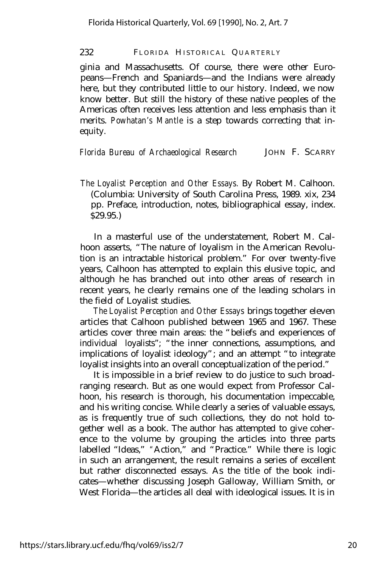ginia and Massachusetts. Of course, there were other Europeans— French and Spaniards— and the Indians were already here, but they contributed little to our history. Indeed, we now know better. But still the history of these native peoples of the Americas often receives less attention and less emphasis than it merits. *Powhatan's Mantle* is a step towards correcting that inequity.

*Florida Bureau of Archaeological Research* JOHN F. SCARRY

*The Loyalist Perception and Other Essays.* By Robert M. Calhoon. (Columbia: University of South Carolina Press, 1989. xix, 234 pp. Preface, introduction, notes, bibliographical essay, index. \$29.95.)

In a masterful use of the understatement, Robert M. Calhoon asserts, "The nature of loyalism in the American Revolution is an intractable historical problem." For over twenty-five years, Calhoon has attempted to explain this elusive topic, and although he has branched out into other areas of research in recent years, he clearly remains one of the leading scholars in the field of Loyalist studies.

*The Loyalist Perception and Other Essays* brings together eleven articles that Calhoon published between 1965 and 1967. These articles cover three main areas: the "beliefs and experiences of individual loyalists"; "the inner connections, assumptions, and implications of loyalist ideology"; and an attempt "to integrate loyalist insights into an overall conceptualization of the period."

It is impossible in a brief review to do justice to such broadranging research. But as one would expect from Professor Calhoon, his research is thorough, his documentation impeccable, and his writing concise. While clearly a series of valuable essays, as is frequently true of such collections, they do not hold together well as a book. The author has attempted to give coherence to the volume by grouping the articles into three parts labelled "Ideas," "Action," and "Practice." While there is logic in such an arrangement, the result remains a series of excellent but rather disconnected essays. As the title of the book indicates— whether discussing Joseph Galloway, William Smith, or West Florida— the articles all deal with ideological issues. It is in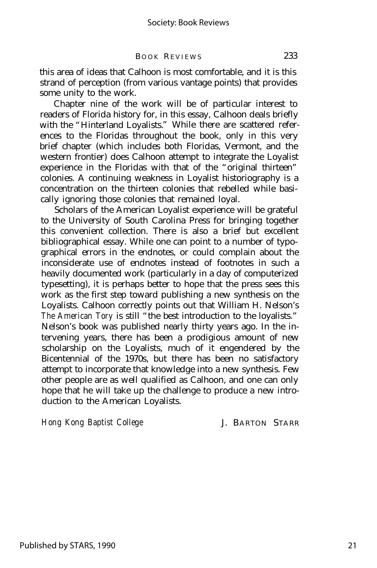this area of ideas that Calhoon is most comfortable, and it is this strand of perception (from various vantage points) that provides some unity to the work.

Chapter nine of the work will be of particular interest to readers of Florida history for, in this essay, Calhoon deals briefly with the "Hinterland Loyalists." While there are scattered references to the Floridas throughout the book, only in this very brief chapter (which includes both Floridas, Vermont, and the western frontier) does Calhoon attempt to integrate the Loyalist experience in the Floridas with that of the "original thirteen" colonies. A continuing weakness in Loyalist historiography is a concentration on the thirteen colonies that rebelled while basically ignoring those colonies that remained loyal.

Scholars of the American Loyalist experience will be grateful to the University of South Carolina Press for bringing together this convenient collection. There is also a brief but excellent bibliographical essay. While one can point to a number of typographical errors in the endnotes, or could complain about the inconsiderate use of endnotes instead of footnotes in such a heavily documented work (particularly in a day of computerized typesetting), it is perhaps better to hope that the press sees this work as the first step toward publishing a new synthesis on the Loyalists. Calhoon correctly points out that William H. Nelson's *The American Tory* is still "the best introduction to the loyalists." Nelson's book was published nearly thirty years ago. In the intervening years, there has been a prodigious amount of new scholarship on the Loyalists, much of it engendered by the Bicentennial of the 1970s, but there has been no satisfactory attempt to incorporate that knowledge into a new synthesis. Few other people are as well qualified as Calhoon, and one can only hope that he will take up the challenge to produce a new introduction to the American Loyalists.

*Hong Kong Baptist College* J. B ARTON STARR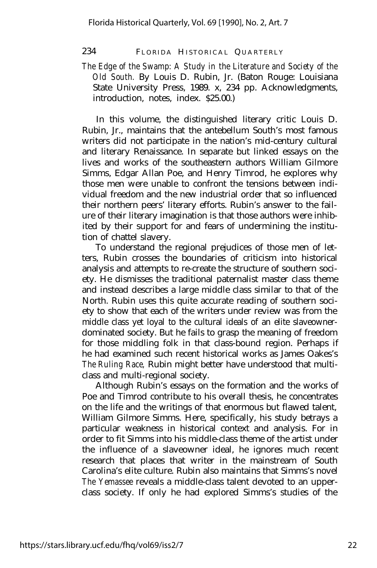*The Edge of the Swamp: A Study in the Literature and Society of the Old South.* By Louis D. Rubin, Jr. (Baton Rouge: Louisiana State University Press, 1989. x, 234 pp. Acknowledgments, introduction, notes, index. \$25.00.)

In this volume, the distinguished literary critic Louis D. Rubin, Jr., maintains that the antebellum South's most famous writers did not participate in the nation's mid-century cultural and literary Renaissance. In separate but linked essays on the lives and works of the southeastern authors William Gilmore Simms, Edgar Allan Poe, and Henry Timrod, he explores why those men were unable to confront the tensions between individual freedom and the new industrial order that so influenced their northern peers' literary efforts. Rubin's answer to the failure of their literary imagination is that those authors were inhibited by their support for and fears of undermining the institution of chattel slavery.

To understand the regional prejudices of those men of letters, Rubin crosses the boundaries of criticism into historical analysis and attempts to re-create the structure of southern society. He dismisses the traditional paternalist master class theme and instead describes a large middle class similar to that of the North. Rubin uses this quite accurate reading of southern society to show that each of the writers under review was from the middle class yet loyal to the cultural ideals of an elite slaveownerdominated society. But he fails to grasp the meaning of freedom for those middling folk in that class-bound region. Perhaps if he had examined such recent historical works as James Oakes's *The Ruling Race,* Rubin might better have understood that multiclass and multi-regional society.

Although Rubin's essays on the formation and the works of Poe and Timrod contribute to his overall thesis, he concentrates on the life and the writings of that enormous but flawed talent, William Gilmore Simms. Here, specifically, his study betrays a particular weakness in historical context and analysis. For in order to fit Simms into his middle-class theme of the artist under the influence of a slaveowner ideal, he ignores much recent research that places that writer in the mainstream of South Carolina's elite culture. Rubin also maintains that Simms's novel *The Yemassee* reveals a middle-class talent devoted to an upperclass society. If only he had explored Simms's studies of the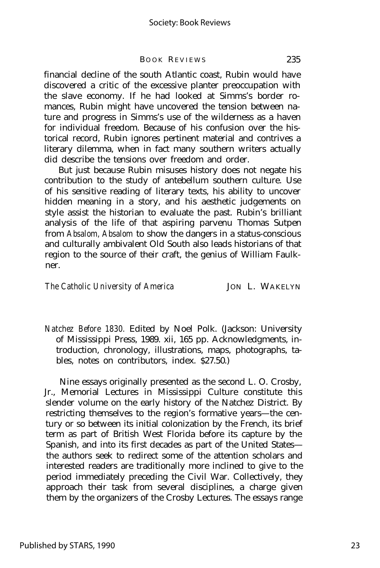financial decline of the south Atlantic coast, Rubin would have discovered a critic of the excessive planter preoccupation with the slave economy. If he had looked at Simms's border romances, Rubin might have uncovered the tension between nature and progress in Simms's use of the wilderness as a haven for individual freedom. Because of his confusion over the historical record, Rubin ignores pertinent material and contrives a literary dilemma, when in fact many southern writers actually did describe the tensions over freedom and order.

But just because Rubin misuses history does not negate his contribution to the study of antebellum southern culture. Use of his sensitive reading of literary texts, his ability to uncover hidden meaning in a story, and his aesthetic judgements on style assist the historian to evaluate the past. Rubin's brilliant analysis of the life of that aspiring parvenu Thomas Sutpen from *Absalom, Absalom* to show the dangers in a status-conscious and culturally ambivalent Old South also leads historians of that region to the source of their craft, the genius of William Faulkner.

*The Catholic University of America* JON L. WAKELYN

*Natchez Before 1830.* Edited by Noel Polk. (Jackson: University of Mississippi Press, 1989. xii, 165 pp. Acknowledgments, introduction, chronology, illustrations, maps, photographs, tables, notes on contributors, index. \$27.50.)

Nine essays originally presented as the second L. O. Crosby, Jr., Memorial Lectures in Mississippi Culture constitute this slender volume on the early history of the Natchez District. By restricting themselves to the region's formative years— the century or so between its initial colonization by the French, its brief term as part of British West Florida before its capture by the Spanish, and into its first decades as part of the United States the authors seek to redirect some of the attention scholars and interested readers are traditionally more inclined to give to the period immediately preceding the Civil War. Collectively, they approach their task from several disciplines, a charge given them by the organizers of the Crosby Lectures. The essays range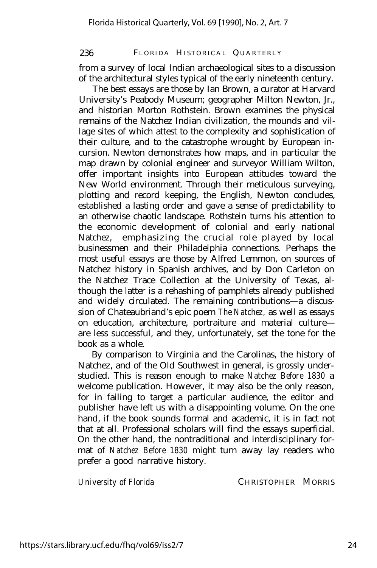from a survey of local Indian archaeological sites to a discussion of the architectural styles typical of the early nineteenth century.

The best essays are those by Ian Brown, a curator at Harvard University's Peabody Museum; geographer Milton Newton, Jr., and historian Morton Rothstein. Brown examines the physical remains of the Natchez Indian civilization, the mounds and village sites of which attest to the complexity and sophistication of their culture, and to the catastrophe wrought by European incursion. Newton demonstrates how maps, and in particular the map drawn by colonial engineer and surveyor William Wilton, offer important insights into European attitudes toward the New World environment. Through their meticulous surveying, plotting and record keeping, the English, Newton concludes, established a lasting order and gave a sense of predictability to an otherwise chaotic landscape. Rothstein turns his attention to the economic development of colonial and early national Natchez, emphasizing the crucial role played by local businessmen and their Philadelphia connections. Perhaps the most useful essays are those by Alfred Lemmon, on sources of Natchez history in Spanish archives, and by Don Carleton on the Natchez Trace Collection at the University of Texas, although the latter is a rehashing of pamphlets already published and widely circulated. The remaining contributions— a discussion of Chateaubriand's epic poem *The Natchez,* as well as essays on education, architecture, portraiture and material culture are less successful, and they, unfortunately, set the tone for the book as a whole.

By comparison to Virginia and the Carolinas, the history of Natchez, and of the Old Southwest in general, is grossly understudied. This is reason enough to make *Natchez Before 1830* a welcome publication. However, it may also be the only reason, for in failing to target a particular audience, the editor and publisher have left us with a disappointing volume. On the one hand, if the book sounds formal and academic, it is in fact not that at all. Professional scholars will find the essays superficial. On the other hand, the nontraditional and interdisciplinary format of *Natchez Before 1830* might turn away lay readers who prefer a good narrative history.

*University of Florida* CHRISTOPHER MORRIS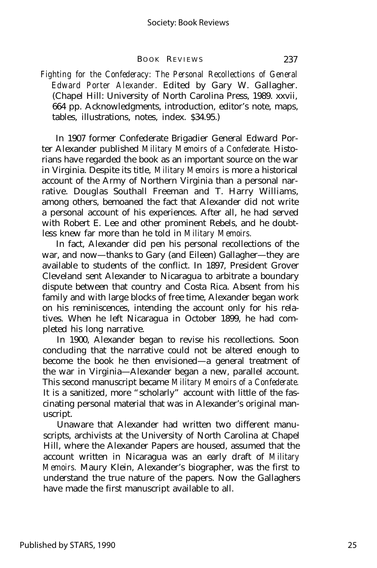*Fighting for the Confederacy: The Personal Recollections of General Edward Porter Alexander.* Edited by Gary W. Gallagher. (Chapel Hill: University of North Carolina Press, 1989. xxvii, 664 pp. Acknowledgments, introduction, editor's note, maps, tables, illustrations, notes, index. \$34.95.)

In 1907 former Confederate Brigadier General Edward Porter Alexander published *Military Memoirs of a Confederate.* Historians have regarded the book as an important source on the war in Virginia. Despite its title, *Military Memoirs* is more a historical account of the Army of Northern Virginia than a personal narrative. Douglas Southall Freeman and T. Harry Williams, among others, bemoaned the fact that Alexander did not write a personal account of his experiences. After all, he had served with Robert E. Lee and other prominent Rebels, and he doubtless knew far more than he told in *Military Memoirs.*

In fact, Alexander did pen his personal recollections of the war, and now— thanks to Gary (and Eileen) Gallagher— they are available to students of the conflict. In 1897, President Grover Cleveland sent Alexander to Nicaragua to arbitrate a boundary dispute between that country and Costa Rica. Absent from his family and with large blocks of free time, Alexander began work on his reminiscences, intending the account only for his relatives. When he left Nicaragua in October 1899, he had completed his long narrative.

In 1900, Alexander began to revise his recollections. Soon concluding that the narrative could not be altered enough to become the book he then envisioned— a general treatment of the war in Virginia— Alexander began a new, parallel account. This second manuscript became *Military Memoirs of a Confederate.* It is a sanitized, more "scholarly" account with little of the fascinating personal material that was in Alexander's original manuscript.

Unaware that Alexander had written two different manuscripts, archivists at the University of North Carolina at Chapel Hill, where the Alexander Papers are housed, assumed that the account written in Nicaragua was an early draft of *Military Memoirs.* Maury Klein, Alexander's biographer, was the first to understand the true nature of the papers. Now the Gallaghers have made the first manuscript available to all.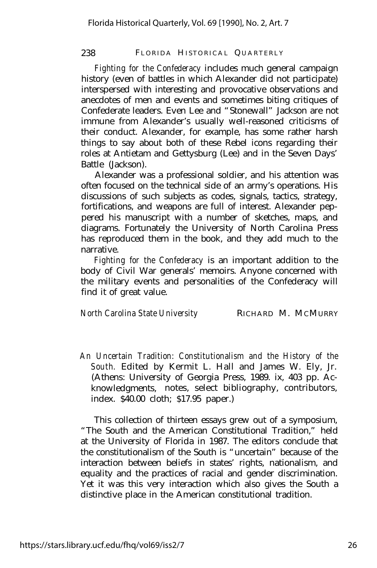*Fighting for the Confederacy* includes much general campaign history (even of battles in which Alexander did not participate) interspersed with interesting and provocative observations and anecdotes of men and events and sometimes biting critiques of Confederate leaders. Even Lee and "Stonewall" Jackson are not immune from Alexander's usually well-reasoned criticisms of their conduct. Alexander, for example, has some rather harsh things to say about both of these Rebel icons regarding their roles at Antietam and Gettysburg (Lee) and in the Seven Days' Battle (Jackson).

Alexander was a professional soldier, and his attention was often focused on the technical side of an army's operations. His discussions of such subjects as codes, signals, tactics, strategy, fortifications, and weapons are full of interest. Alexander peppered his manuscript with a number of sketches, maps, and diagrams. Fortunately the University of North Carolina Press has reproduced them in the book, and they add much to the narrative.

*Fighting for the Confederacy* is an important addition to the body of Civil War generals' memoirs. Anyone concerned with the military events and personalities of the Confederacy will find it of great value.

*North Carolina State University* RICHARD M. MCMURRY

*An Uncertain Tradition: Constitutionalism and the History of the South.* Edited by Kermit L. Hall and James W. Ely, Jr. (Athens: University of Georgia Press, 1989. ix, 403 pp. Acknowledgments, notes, select bibliography, contributors, index. \$40.00 cloth; \$17.95 paper.)

This collection of thirteen essays grew out of a symposium, "The South and the American Constitutional Tradition," held at the University of Florida in 1987. The editors conclude that the constitutionalism of the South is "uncertain" because of the interaction between beliefs in states' rights, nationalism, and equality and the practices of racial and gender discrimination. Yet it was this very interaction which also gives the South a distinctive place in the American constitutional tradition.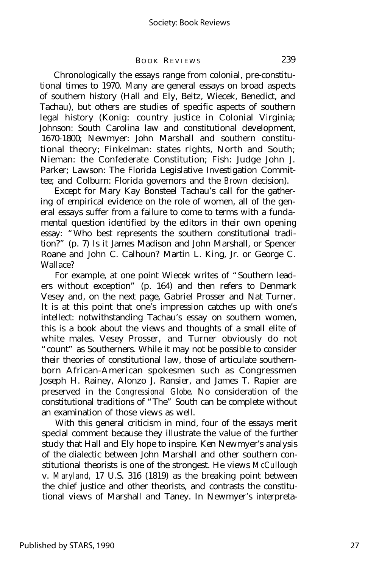Chronologically the essays range from colonial, pre-constitutional times to 1970. Many are general essays on broad aspects of southern history (Hall and Ely, Beltz, Wiecek, Benedict, and Tachau), but others are studies of specific aspects of southern legal history (Konig: country justice in Colonial Virginia; Johnson: South Carolina law and constitutional development, 1670-1800; Newmyer: John Marshall and southern constitutional theory; Finkelman: states rights, North and South; Nieman: the Confederate Constitution; Fish: Judge John J. Parker; Lawson: The Florida Legislative Investigation Committee; and Colburn: Florida governors and the *Brown* decision).

Except for Mary Kay Bonsteel Tachau's call for the gathering of empirical evidence on the role of women, all of the general essays suffer from a failure to come to terms with a fundamental question identified by the editors in their own opening essay: "Who best represents the southern constitutional tradition?" (p. 7) Is it James Madison and John Marshall, or Spencer Roane and John C. Calhoun? Martin L. King, Jr. or George C. Wallace?

For example, at one point Wiecek writes of "Southern leaders without exception" (p. 164) and then refers to Denmark Vesey and, on the next page, Gabriel Prosser and Nat Turner. It is at this point that one's impression catches up with one's intellect: notwithstanding Tachau's essay on southern women, this is a book about the views and thoughts of a small elite of white males. Vesey Prosser, and Turner obviously do not "count" as Southerners. While it may not be possible to consider their theories of constitutional law, those of articulate southernborn African-American spokesmen such as Congressmen Joseph H. Rainey, Alonzo J. Ransier, and James T. Rapier are preserved in the *Congressional Globe.* No consideration of the constitutional traditions of "The" South can be complete without an examination of those views as well.

With this general criticism in mind, four of the essays merit special comment because they illustrate the value of the further study that Hall and Ely hope to inspire. Ken Newmyer's analysis of the dialectic between John Marshall and other southern constitutional theorists is one of the strongest. He views *McCullough* v. *Maryland,* 17 U.S. 316 (1819) as the breaking point between the chief justice and other theorists, and contrasts the constitutional views of Marshall and Taney. In Newmyer's interpreta-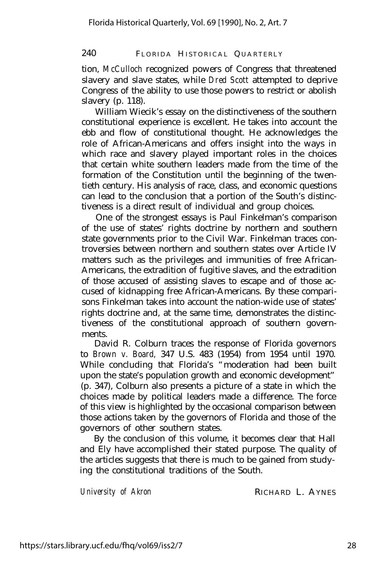tion, *McCulloch* recognized powers of Congress that threatened slavery and slave states, while *Dred Scott* attempted to deprive Congress of the ability to use those powers to restrict or abolish slavery (p. 118).

William Wiecik's essay on the distinctiveness of the southern constitutional experience is excellent. He takes into account the ebb and flow of constitutional thought. He acknowledges the role of African-Americans and offers insight into the ways in which race and slavery played important roles in the choices that certain white southern leaders made from the time of the formation of the Constitution until the beginning of the twentieth century. His analysis of race, class, and economic questions can lead to the conclusion that a portion of the South's distinctiveness is a direct result of individual and group choices.

One of the strongest essays is Paul Finkelman's comparison of the use of states' rights doctrine by northern and southern state governments prior to the Civil War. Finkelman traces controversies between northern and southern states over Article IV matters such as the privileges and immunities of free African-Americans, the extradition of fugitive slaves, and the extradition of those accused of assisting slaves to escape and of those accused of kidnapping free African-Americans. By these comparisons Finkelman takes into account the nation-wide use of states' rights doctrine and, at the same time, demonstrates the distinctiveness of the constitutional approach of southern governments.

David R. Colburn traces the response of Florida governors to *Brown v. Board,* 347 U.S. 483 (1954) from 1954 until 1970. While concluding that Florida's "moderation had been built upon the state's population growth and economic development" (p. 347), Colburn also presents a picture of a state in which the choices made by political leaders made a difference. The force of this view is highlighted by the occasional comparison between those actions taken by the governors of Florida and those of the governors of other southern states.

By the conclusion of this volume, it becomes clear that Hall and Ely have accomplished their stated purpose. The quality of the articles suggests that there is much to be gained from studying the constitutional traditions of the South.

*University of Akron* RICHARD L. AYNES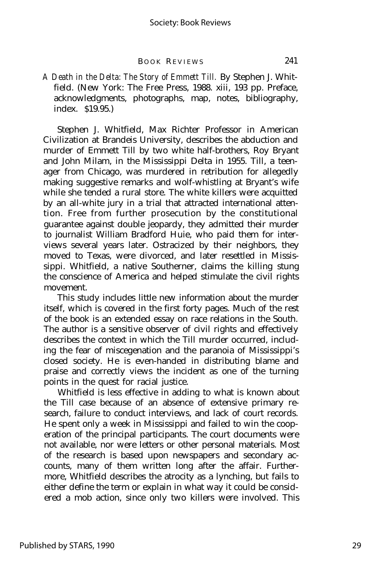*A Death in the Delta: The Story of Emmett Till.* By Stephen J. Whitfield. (New York: The Free Press, 1988. xiii, 193 pp. Preface, acknowledgments, photographs, map, notes, bibliography, index. \$19.95.)

Stephen J. Whitfield, Max Richter Professor in American Civilization at Brandeis University, describes the abduction and murder of Emmett Till by two white half-brothers, Roy Bryant and John Milam, in the Mississippi Delta in 1955. Till, a teenager from Chicago, was murdered in retribution for allegedly making suggestive remarks and wolf-whistling at Bryant's wife while she tended a rural store. The white killers were acquitted by an all-white jury in a trial that attracted international attention. Free from further prosecution by the constitutional guarantee against double jeopardy, they admitted their murder to journalist William Bradford Huie, who paid them for interviews several years later. Ostracized by their neighbors, they moved to Texas, were divorced, and later resettled in Mississippi. Whitfield, a native Southerner, claims the killing stung the conscience of America and helped stimulate the civil rights movement.

This study includes little new information about the murder itself, which is covered in the first forty pages. Much of the rest of the book is an extended essay on race relations in the South. The author is a sensitive observer of civil rights and effectively describes the context in which the Till murder occurred, including the fear of miscegenation and the paranoia of Mississippi's closed society. He is even-handed in distributing blame and praise and correctly views the incident as one of the turning points in the quest for racial justice.

Whitfield is less effective in adding to what is known about the Till case because of an absence of extensive primary research, failure to conduct interviews, and lack of court records. He spent only a week in Mississippi and failed to win the cooperation of the principal participants. The court documents were not available, nor were letters or other personal materials. Most of the research is based upon newspapers and secondary accounts, many of them written long after the affair. Furthermore, Whitfield describes the atrocity as a lynching, but fails to either define the term or explain in what way it could be considered a mob action, since only two killers were involved. This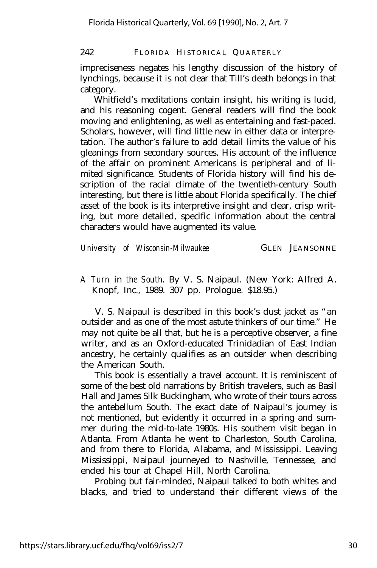impreciseness negates his lengthy discussion of the history of lynchings, because it is not clear that Till's death belongs in that category.

Whitfield's meditations contain insight, his writing is lucid, and his reasoning cogent. General readers will find the book moving and enlightening, as well as entertaining and fast-paced. Scholars, however, will find little new in either data or interpretation. The author's failure to add detail limits the value of his gleanings from secondary sources. His account of the influence of the affair on prominent Americans is peripheral and of limited significance. Students of Florida history will find his description of the racial climate of the twentieth-century South interesting, but there is little about Florida specifically. The chief asset of the book is its interpretive insight and clear, crisp writing, but more detailed, specific information about the central characters would have augmented its value.

*University of Wisconsin-Milwaukee* GLEN JEANSONNE

*A Turn* in *the South.* By V. S. Naipaul. (New York: Alfred A. Knopf, Inc., 1989. 307 pp. Prologue. \$18.95.)

V. S. Naipaul is described in this book's dust jacket as "an outsider and as one of the most astute thinkers of our time." He may not quite be all that, but he is a perceptive observer, a fine writer, and as an Oxford-educated Trinidadian of East Indian ancestry, he certainly qualifies as an outsider when describing the American South.

This book is essentially a travel account. It is reminiscent of some of the best old narrations by British travelers, such as Basil Hall and James Silk Buckingham, who wrote of their tours across the antebellum South. The exact date of Naipaul's journey is not mentioned, but evidently it occurred in a spring and summer during the mid-to-late 1980s. His southern visit began in Atlanta. From Atlanta he went to Charleston, South Carolina, and from there to Florida, Alabama, and Mississippi. Leaving Mississippi, Naipaul journeyed to Nashville, Tennessee, and ended his tour at Chapel Hill, North Carolina.

Probing but fair-minded, Naipaul talked to both whites and blacks, and tried to understand their different views of the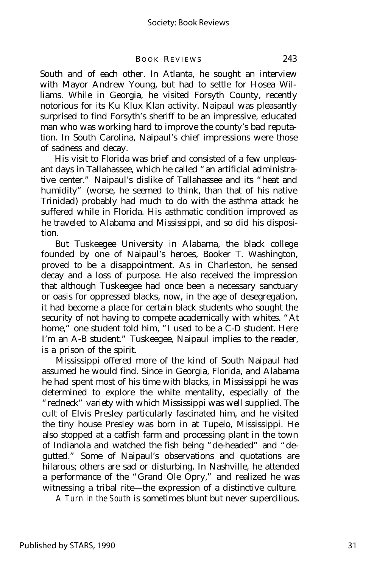South and of each other. In Atlanta, he sought an interview with Mayor Andrew Young, but had to settle for Hosea Williams. While in Georgia, he visited Forsyth County, recently notorious for its Ku Klux Klan activity. Naipaul was pleasantly surprised to find Forsyth's sheriff to be an impressive, educated man who was working hard to improve the county's bad reputation. In South Carolina, Naipaul's chief impressions were those of sadness and decay.

His visit to Florida was brief and consisted of a few unpleasant days in Tallahassee, which he called "an artificial administrative center." Naipaul's dislike of Tallahassee and its "heat and humidity" (worse, he seemed to think, than that of his native Trinidad) probably had much to do with the asthma attack he suffered while in Florida. His asthmatic condition improved as he traveled to Alabama and Mississippi, and so did his disposition.

But Tuskeegee University in Alabama, the black college founded by one of Naipaul's heroes, Booker T. Washington, proved to be a disappointment. As in Charleston, he sensed decay and a loss of purpose. He also received the impression that although Tuskeegee had once been a necessary sanctuary or oasis for oppressed blacks, now, in the age of desegregation, it had become a place for certain black students who sought the security of not having to compete academically with whites. "At home," one student told him, "I used to be a C-D student. Here I'm an A-B student." Tuskeegee, Naipaul implies to the reader, is a prison of the spirit.

Mississippi offered more of the kind of South Naipaul had assumed he would find. Since in Georgia, Florida, and Alabama he had spent most of his time with blacks, in Mississippi he was determined to explore the white mentality, especially of the "redneck" variety with which Mississippi was well supplied. The cult of Elvis Presley particularly fascinated him, and he visited the tiny house Presley was born in at Tupelo, Mississippi. He also stopped at a catfish farm and processing plant in the town of Indianola and watched the fish being "de-headed" and "degutted." Some of Naipaul's observations and quotations are hilarous; others are sad or disturbing. In Nashville, he attended a performance of the "Grand Ole Opry," and realized he was witnessing a tribal rite— the expression of a distinctive culture.

*A Turn in the South* is sometimes blunt but never supercilious.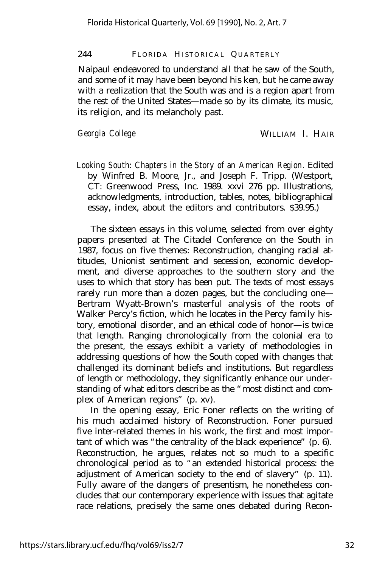Naipaul endeavored to understand all that he saw of the South, and some of it may have been beyond his ken, but he came away with a realization that the South was and is a region apart from the rest of the United States— made so by its climate, its music, its religion, and its melancholy past.

*Georgia College* WILLIAM I. HAIR

*Looking South: Chapters in the Story of an American Region.* Edited by Winfred B. Moore, Jr., and Joseph F. Tripp. (Westport, CT: Greenwood Press, Inc. 1989. xxvi 276 pp. Illustrations, acknowledgments, introduction, tables, notes, bibliographical essay, index, about the editors and contributors. \$39.95.)

The sixteen essays in this volume, selected from over eighty papers presented at The Citadel Conference on the South in 1987, focus on five themes: Reconstruction, changing racial attitudes, Unionist sentiment and secession, economic development, and diverse approaches to the southern story and the uses to which that story has been put. The texts of most essays rarely run more than a dozen pages, but the concluding one— Bertram Wyatt-Brown's masterful analysis of the roots of Walker Percy's fiction, which he locates in the Percy family history, emotional disorder, and an ethical code of honor— is twice that length. Ranging chronologically from the colonial era to the present, the essays exhibit a variety of methodologies in addressing questions of how the South coped with changes that challenged its dominant beliefs and institutions. But regardless of length or methodology, they significantly enhance our understanding of what editors describe as the "most distinct and complex of American regions" (p. xv).

In the opening essay, Eric Foner reflects on the writing of his much acclaimed history of Reconstruction. Foner pursued five inter-related themes in his work, the first and most important of which was "the centrality of the black experience" (p. 6). Reconstruction, he argues, relates not so much to a specific chronological period as to "an extended historical process: the adjustment of American society to the end of slavery" (p. 11). Fully aware of the dangers of presentism, he nonetheless concludes that our contemporary experience with issues that agitate race relations, precisely the same ones debated during Recon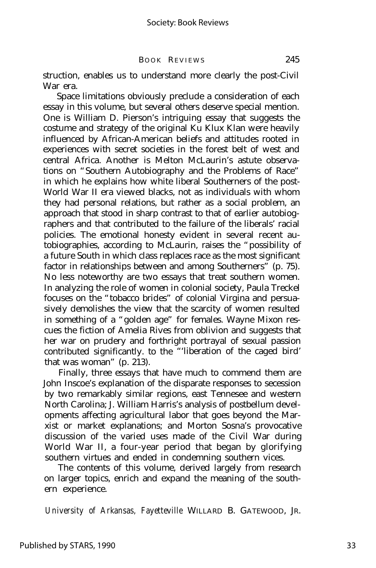struction, enables us to understand more clearly the post-Civil War era.

Space limitations obviously preclude a consideration of each essay in this volume, but several others deserve special mention. One is William D. Pierson's intriguing essay that suggests the costume and strategy of the original Ku Klux Klan were heavily influenced by African-American beliefs and attitudes rooted in experiences with secret societies in the forest belt of west and central Africa. Another is Melton McLaurin's astute observations on "Southern Autobiography and the Problems of Race" in which he explains how white liberal Southerners of the post-World War II era viewed blacks, not as individuals with whom they had personal relations, but rather as a social problem, an approach that stood in sharp contrast to that of earlier autobiographers and that contributed to the failure of the liberals' racial policies. The emotional honesty evident in several recent autobiographies, according to McLaurin, raises the "possibility of a future South in which class replaces race as the most significant factor in relationships between and among Southerners" (p. 75). No less noteworthy are two essays that treat southern women. In analyzing the role of women in colonial society, Paula Treckel focuses on the "tobacco brides" of colonial Virgina and persuasively demolishes the view that the scarcity of women resulted in something of a "golden age" for females. Wayne Mixon rescues the fiction of Amelia Rives from oblivion and suggests that her war on prudery and forthright portrayal of sexual passion contributed significantly. to the "'liberation of the caged bird' that was woman" (p. 213).

Finally, three essays that have much to commend them are John Inscoe's explanation of the disparate responses to secession by two remarkably similar regions, east Tennesee and western North Carolina; J. William Harris's analysis of postbellum developments affecting agricultural labor that goes beyond the Marxist or market explanations; and Morton Sosna's provocative discussion of the varied uses made of the Civil War during World War II, a four-year period that began by glorifying southern virtues and ended in condemning southern vices.

The contents of this volume, derived largely from research on larger topics, enrich and expand the meaning of the southern experience.

*University of Arkansas, Fayetteville* WILLARD B. GATEWOOD, JR.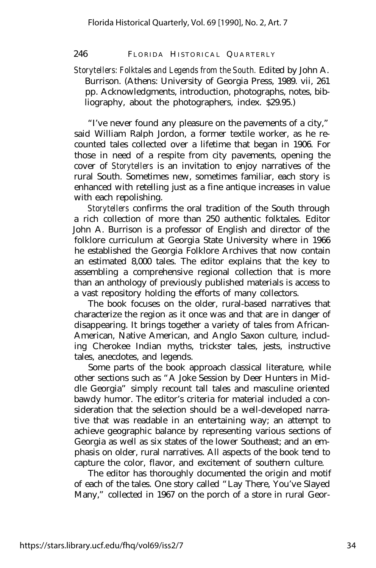*Storytellers: Folktales and Legends from the South.* Edited by John A. Burrison. (Athens: University of Georgia Press, 1989. vii, 261 pp. Acknowledgments, introduction, photographs, notes, bibliography, about the photographers, index. \$29.95.)

"I've never found any pleasure on the pavements of a city," said William Ralph Jordon, a former textile worker, as he recounted tales collected over a lifetime that began in 1906. For those in need of a respite from city pavements, opening the cover of *Storytellers* is an invitation to enjoy narratives of the rural South. Sometimes new, sometimes familiar, each story is enhanced with retelling just as a fine antique increases in value with each repolishing.

*Storytellers* confirms the oral tradition of the South through a rich collection of more than 250 authentic folktales. Editor John A. Burrison is a professor of English and director of the folklore curriculum at Georgia State University where in 1966 he established the Georgia Folklore Archives that now contain an estimated 8,000 tales. The editor explains that the key to assembling a comprehensive regional collection that is more than an anthology of previously published materials is access to a vast repository holding the efforts of many collectors.

The book focuses on the older, rural-based narratives that characterize the region as it once was and that are in danger of disappearing. It brings together a variety of tales from African-American, Native American, and Anglo Saxon culture, including Cherokee Indian myths, trickster tales, jests, instructive tales, anecdotes, and legends.

Some parts of the book approach classical literature, while other sections such as "A Joke Session by Deer Hunters in Middle Georgia" simply recount tall tales and masculine oriented bawdy humor. The editor's criteria for material included a consideration that the selection should be a well-developed narrative that was readable in an entertaining way; an attempt to achieve geographic balance by representing various sections of Georgia as well as six states of the lower Southeast; and an emphasis on older, rural narratives. All aspects of the book tend to capture the color, flavor, and excitement of southern culture.

The editor has thoroughly documented the origin and motif of each of the tales. One story called "Lay There, You've Slayed Many," collected in 1967 on the porch of a store in rural Geor-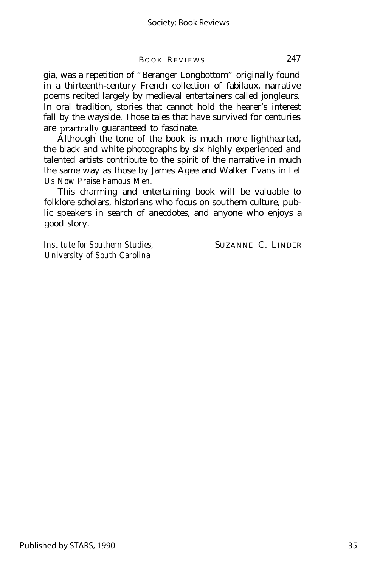gia, was a repetition of "Beranger Longbottom" originally found in a thirteenth-century French collection of fabilaux, narrative poems recited largely by medieval entertainers called jongleurs. In oral tradition, stories that cannot hold the hearer's interest fall by the wayside. Those tales that have survived for centuries are practcally guaranteed to fascinate.

Although the tone of the book is much more lighthearted, the black and white photographs by six highly experienced and talented artists contribute to the spirit of the narrative in much the same way as those by James Agee and Walker Evans in *Let Us Now Praise Famous Men.*

This charming and entertaining book will be valuable to folklore scholars, historians who focus on southern culture, public speakers in search of anecdotes, and anyone who enjoys a good story.

*Institute for Southern Studies, University of South Carolina*

SUZANNE C. LINDER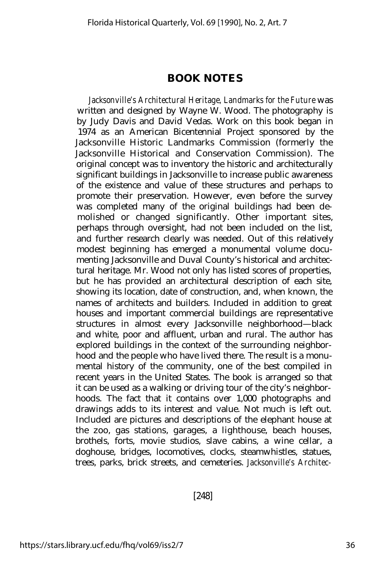#### **BOOK NOTES**

*Jacksonville's Architectural Heritage, Landmarks for the Future* was written and designed by Wayne W. Wood. The photography is by Judy Davis and David Vedas. Work on this book began in 1974 as an American Bicentennial Project sponsored by the Jacksonville Historic Landmarks Commission (formerly the Jacksonville Historical and Conservation Commission). The original concept was to inventory the historic and architecturally significant buildings in Jacksonville to increase public awareness of the existence and value of these structures and perhaps to promote their preservation. However, even before the survey was completed many of the original buildings had been demolished or changed significantly. Other important sites, perhaps through oversight, had not been included on the list, and further research clearly was needed. Out of this relatively modest beginning has emerged a monumental volume documenting Jacksonville and Duval County's historical and architectural heritage. Mr. Wood not only has listed scores of properties, but he has provided an architectural description of each site, showing its location, date of construction, and, when known, the names of architects and builders. Included in addition to great houses and important commercial buildings are representative structures in almost every Jacksonville neighborhood— black and white, poor and affluent, urban and rural. The author has explored buildings in the context of the surrounding neighborhood and the people who have lived there. The result is a monumental history of the community, one of the best compiled in recent years in the United States. The book is arranged so that it can be used as a walking or driving tour of the city's neighborhoods. The fact that it contains over 1,000 photographs and drawings adds to its interest and value. Not much is left out. Included are pictures and descriptions of the elephant house at the zoo, gas stations, garages, a lighthouse, beach houses, brothels, forts, movie studios, slave cabins, a wine cellar, a doghouse, bridges, locomotives, clocks, steamwhistles, statues, trees, parks, brick streets, and cemeteries. *Jacksonville's Architec-*

[248]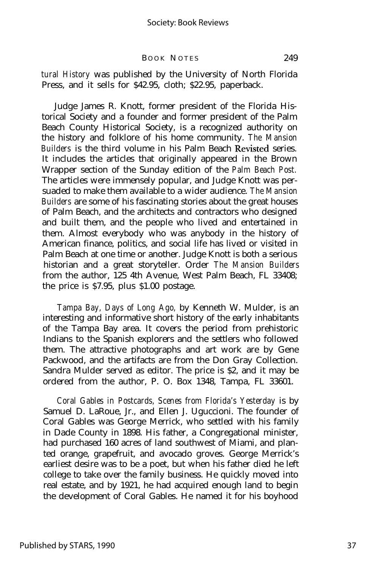#### BOOK NOTES 249

*tural History* was published by the University of North Florida Press, and it sells for \$42.95, cloth; \$22.95, paperback.

Judge James R. Knott, former president of the Florida Historical Society and a founder and former president of the Palm Beach County Historical Society, is a recognized authority on the history and folklore of his home community. *The Mansion Builders* is the third volume in his Palm Beach Revisted series. It includes the articles that originally appeared in the Brown Wrapper section of the Sunday edition of the *Palm Beach Post.* The articles were immensely popular, and Judge Knott was persuaded to make them available to a wider audience. *The Mansion Builders* are some of his fascinating stories about the great houses of Palm Beach, and the architects and contractors who designed and built them, and the people who lived and entertained in them. Almost everybody who was anybody in the history of American finance, politics, and social life has lived or visited in Palm Beach at one time or another. Judge Knott is both a serious historian and a great storyteller. Order *The Mansion Builders* from the author, 125 4th Avenue, West Palm Beach, FL 33408; the price is \$7.95, plus \$1.00 postage.

*Tampa Bay, Days of Long Ago,* by Kenneth W. Mulder, is an interesting and informative short history of the early inhabitants of the Tampa Bay area. It covers the period from prehistoric Indians to the Spanish explorers and the settlers who followed them. The attractive photographs and art work are by Gene Packwood, and the artifacts are from the Don Gray Collection. Sandra Mulder served as editor. The price is \$2, and it may be ordered from the author, P. O. Box 1348, Tampa, FL 33601.

*Coral Gables in Postcards, Scenes from Florida's Yesterday* is by Samuel D. LaRoue, Jr., and Ellen J. Uguccioni. The founder of Coral Gables was George Merrick, who settled with his family in Dade County in 1898. His father, a Congregational minister, had purchased 160 acres of land southwest of Miami, and planted orange, grapefruit, and avocado groves. George Merrick's earliest desire was to be a poet, but when his father died he left college to take over the family business. He quickly moved into real estate, and by 1921, he had acquired enough land to begin the development of Coral Gables. He named it for his boyhood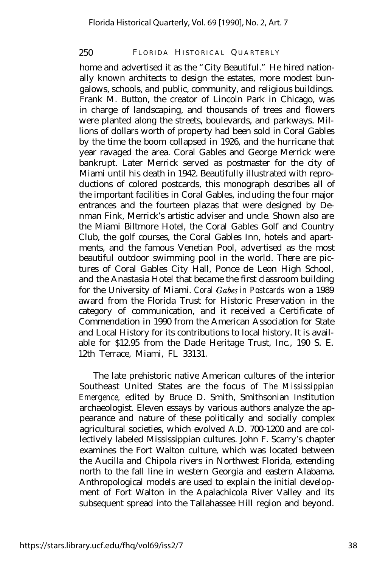home and advertised it as the "City Beautiful." He hired nationally known architects to design the estates, more modest bungalows, schools, and public, community, and religious buildings. Frank M. Button, the creator of Lincoln Park in Chicago, was in charge of landscaping, and thousands of trees and flowers were planted along the streets, boulevards, and parkways. Millions of dollars worth of property had been sold in Coral Gables by the time the boom collapsed in 1926, and the hurricane that year ravaged the area. Coral Gables and George Merrick were bankrupt. Later Merrick served as postmaster for the city of Miami until his death in 1942. Beautifully illustrated with reproductions of colored postcards, this monograph describes all of the important facilities in Coral Gables, including the four major entrances and the fourteen plazas that were designed by Denman Fink, Merrick's artistic adviser and uncle. Shown also are the Miami Biltmore Hotel, the Coral Gables Golf and Country Club, the golf courses, the Coral Gables Inn, hotels and apartments, and the famous Venetian Pool, advertised as the most beautiful outdoor swimming pool in the world. There are pictures of Coral Gables City Hall, Ponce de Leon High School, and the Anastasia Hotel that became the first classroom building for the University of Miami. *Coral Gabes in Postcards* won a 1989 award from the Florida Trust for Historic Preservation in the category of communication, and it received a Certificate of Commendation in 1990 from the American Association for State and Local History for its contributions to local history. It is available for \$12.95 from the Dade Heritage Trust, Inc., 190 S. E. 12th Terrace, Miami, FL 33131.

The late prehistoric native American cultures of the interior Southeast United States are the focus of *The Mississippian Emergence,* edited by Bruce D. Smith, Smithsonian Institution archaeologist. Eleven essays by various authors analyze the appearance and nature of these politically and socially complex agricultural societies, which evolved A.D. 700-1200 and are collectively labeled Mississippian cultures. John F. Scarry's chapter examines the Fort Walton culture, which was located between the Aucilla and Chipola rivers in Northwest Florida, extending north to the fall line in western Georgia and eastern Alabama. Anthropological models are used to explain the initial development of Fort Walton in the Apalachicola River Valley and its subsequent spread into the Tallahassee Hill region and beyond.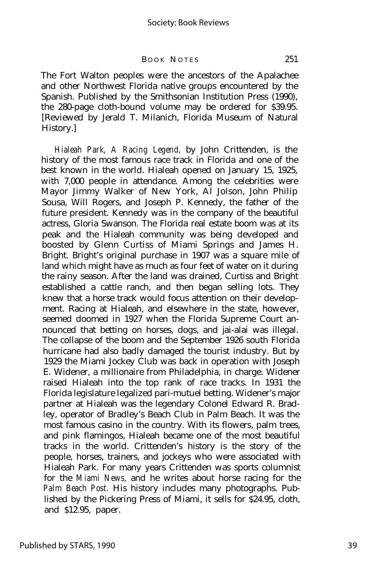#### BOOK NOTES 251

The Fort Walton peoples were the ancestors of the Apalachee and other Northwest Florida native groups encountered by the Spanish. Published by the Smithsonian Institution Press (1990), the 280-page cloth-bound volume may be ordered for \$39.95. [Reviewed by Jerald T. Milanich, Florida Museum of Natural History.]

*Hialeah Park, A Racing Legend,* by John Crittenden, is the history of the most famous race track in Florida and one of the best known in the world. Hialeah opened on January 15, 1925, with 7,000 people in attendance. Among the celebrities were Mayor Jimmy Walker of New York, Al Jolson, John Philip Sousa, Will Rogers, and Joseph P. Kennedy, the father of the future president. Kennedy was in the company of the beautiful actress, Gloria Swanson. The Florida real estate boom was at its peak and the Hialeah community was being developed and boosted by Glenn Curtiss of Miami Springs and James H. Bright. Bright's original purchase in 1907 was a square mile of land which might have as much as four feet of water on it during the rainy season. After the land was drained, Curtiss and Bright established a cattle ranch, and then began selling lots. They knew that a horse track would focus attention on their development. Racing at Hialeah, and elsewhere in the state, however, seemed doomed in 1927 when the Florida Supreme Court announced that betting on horses, dogs, and jai-alai was illegal. The collapse of the boom and the September 1926 south Florida hurricane had also badly damaged the tourist industry. But by 1929 the Miami Jockey Club was back in operation with Joseph E. Widener, a millionaire from Philadelphia, in charge. Widener raised Hialeah into the top rank of race tracks. In 1931 the Florida legislature legalized pari-mutuel betting. Widener's major partner at Hialeah was the legendary Colonel Edward R. Bradley, operator of Bradley's Beach Club in Palm Beach. It was the most famous casino in the country. With its flowers, palm trees, and pink flamingos, Hialeah became one of the most beautiful tracks in the world. Crittenden's history is the story of the people, horses, trainers, and jockeys who were associated with Hialeah Park. For many years Crittenden was sports columnist for the *Miami News,* and he writes about horse racing for the *Palm Beach Post.* His history includes many photographs. Published by the Pickering Press of Miami, it sells for \$24.95, cloth, and \$12.95, paper.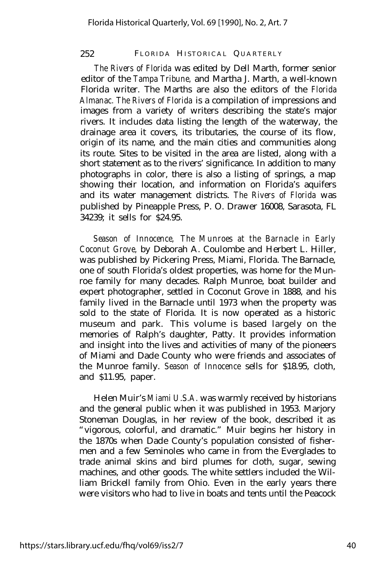*The Rivers of Florida* was edited by Dell Marth, former senior editor of the *Tampa Tribune,* and Martha J. Marth, a well-known Florida writer. The Marths are also the editors of the *Florida Almanac. The Rivers of Florida* is a compilation of impressions and images from a variety of writers describing the state's major rivers. It includes data listing the length of the waterway, the drainage area it covers, its tributaries, the course of its flow, origin of its name, and the main cities and communities along its route. Sites to be visited in the area are listed, along with a short statement as to the rivers' significance. In addition to many photographs in color, there is also a listing of springs, a map showing their location, and information on Florida's aquifers and its water management districts. *The Rivers of Florida* was published by Pineapple Press, P. O. Drawer 16008, Sarasota, FL 34239; it sells for \$24.95.

*Season of Innocence, The Munroes at the Barnacle in Early Coconut Grove,* by Deborah A. Coulombe and Herbert L. Hiller, was published by Pickering Press, Miami, Florida. The Barnacle, one of south Florida's oldest properties, was home for the Munroe family for many decades. Ralph Munroe, boat builder and expert photographer, settled in Coconut Grove in 1888, and his family lived in the Barnacle until 1973 when the property was sold to the state of Florida. It is now operated as a historic museum and park. This volume is based largely on the memories of Ralph's daughter, Patty. It provides information and insight into the lives and activities of many of the pioneers of Miami and Dade County who were friends and associates of the Munroe family. *Season of Innocence* sells for \$18.95, cloth, and \$11.95, paper.

Helen Muir's *Miami U.S.A.* was warmly received by historians and the general public when it was published in 1953. Marjory Stoneman Douglas, in her review of the book, described it as "vigorous, colorful, and dramatic." Muir begins her history in the 1870s when Dade County's population consisted of fishermen and a few Seminoles who came in from the Everglades to trade animal skins and bird plumes for cloth, sugar, sewing machines, and other goods. The white settlers included the William Brickell family from Ohio. Even in the early years there were visitors who had to live in boats and tents until the Peacock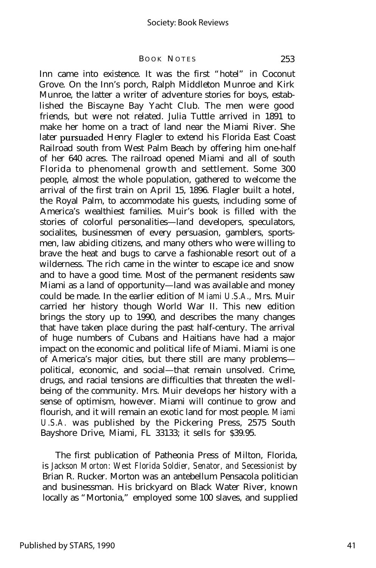#### BOOK NOTES 253

Inn came into existence. It was the first "hotel" in Coconut Grove. On the Inn's porch, Ralph Middleton Munroe and Kirk Munroe, the latter a writer of adventure stories for boys, established the Biscayne Bay Yacht Club. The men were good friends, but were not related. Julia Tuttle arrived in 1891 to make her home on a tract of land near the Miami River. She later pursuaded Henry Flagler to extend his Florida East Coast Railroad south from West Palm Beach by offering him one-half of her 640 acres. The railroad opened Miami and all of south Florida to phenomenal growth and settlement. Some 300 people, almost the whole population, gathered to welcome the arrival of the first train on April 15, 1896. Flagler built a hotel, the Royal Palm, to accommodate his guests, including some of America's wealthiest families. Muir's book is filled with the stories of colorful personalities— land developers, speculators, socialites, businessmen of every persuasion, gamblers, sportsmen, law abiding citizens, and many others who were willing to brave the heat and bugs to carve a fashionable resort out of a wilderness. The rich came in the winter to escape ice and snow and to have a good time. Most of the permanent residents saw Miami as a land of opportunity— land was available and money could be made. In the earlier edition of *Miami U.S.A.,* Mrs. Muir carried her history though World War II. This new edition brings the story up to 1990, and describes the many changes that have taken place during the past half-century. The arrival of huge numbers of Cubans and Haitians have had a major impact on the economic and political life of Miami. Miami is one of America's major cities, but there still are many problems political, economic, and social— that remain unsolved. Crime, drugs, and racial tensions are difficulties that threaten the wellbeing of the community. Mrs. Muir develops her history with a sense of optimism, however. Miami will continue to grow and flourish, and it will remain an exotic land for most people. *Miami U.S.A.* was published by the Pickering Press, 2575 South Bayshore Drive, Miami, FL 33133; it sells for \$39.95.

The first publication of Patheonia Press of Milton, Florida, is *Jackson Morton: West Florida Soldier, Senator, and Secessionist* by Brian R. Rucker. Morton was an antebellum Pensacola politician and businessman. His brickyard on Black Water River, known locally as "Mortonia," employed some 100 slaves, and supplied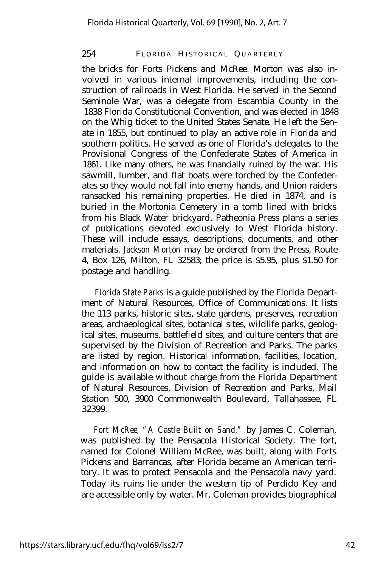the bricks for Forts Pickens and McRee. Morton was also involved in various internal improvements, including the construction of railroads in West Florida. He served in the Second Seminole War, was a delegate from Escambia County in the 1838 Florida Constitutional Convention, and was elected in 1848 on the Whig ticket to the United States Senate. He left the Senate in 1855, but continued to play an active role in Florida and southern politics. He served as one of Florida's delegates to the Provisional Congress of the Confederate States of America in 1861. Like many others, he was financially ruined by the war. His sawmill, lumber, and flat boats were torched by the Confederates so they would not fall into enemy hands, and Union raiders ransacked his remaining properties. He died in 1874, and is buried in the Mortonia Cemetery in a tomb lined with bricks from his Black Water brickyard. Patheonia Press plans a series of publications devoted exclusively to West Florida history. These will include essays, descriptions, documents, and other materials. *Jackson Morton* may be ordered from the Press, Route 4, Box 126, Milton, FL 32583; the price is \$5.95, plus \$1.50 for postage and handling.

*Florida State Parks* is a guide published by the Florida Department of Natural Resources, Office of Communications. It lists the 113 parks, historic sites, state gardens, preserves, recreation areas, archaeological sites, botanical sites, wildlife parks, geological sites, museums, battlefield sites, and culture centers that are supervised by the Division of Recreation and Parks. The parks are listed by region. Historical information, facilities, location, and information on how to contact the facility is included. The guide is available without charge from the Florida Department of Natural Resources, Division of Recreation and Parks, Mail Station 500, 3900 Commonwealth Boulevard, Tallahassee, FL 32399.

*Fort McRee, "A Castle Built on Sand,"* by James C. Coleman, was published by the Pensacola Historical Society. The fort, named for Colonel William McRee, was built, along with Forts Pickens and Barrancas, after Florida became an American territory. It was to protect Pensacola and the Pensacola navy yard. Today its ruins lie under the western tip of Perdido Key and are accessible only by water. Mr. Coleman provides biographical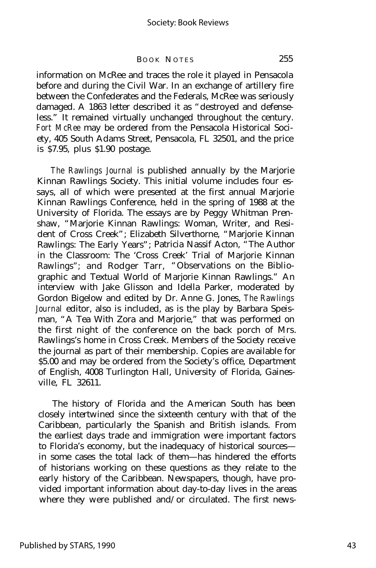#### BOOK NOTES 255

*The Rawlings Journal* is published annually by the Marjorie Kinnan Rawlings Society. This initial volume includes four essays, all of which were presented at the first annual Marjorie Kinnan Rawlings Conference, held in the spring of 1988 at the University of Florida. The essays are by Peggy Whitman Prenshaw, "Marjorie Kinnan Rawlings: Woman, Writer, and Resident of Cross Creek"; Elizabeth Silverthorne, "Marjorie Kinnan Rawlings: The Early Years"; Patricia Nassif Acton, "The Author in the Classroom: The 'Cross Creek' Trial of Marjorie Kinnan Rawlings"; and Rodger Tarr, "Observations on the Bibliographic and Textual World of Marjorie Kinnan Rawlings." An interview with Jake Glisson and Idella Parker, moderated by Gordon Bigelow and edited by Dr. Anne G. Jones, *The Rawlings Journal* editor, also is included, as is the play by Barbara Speisman, "A Tea With Zora and Marjorie," that was performed on the first night of the conference on the back porch of Mrs. Rawlings's home in Cross Creek. Members of the Society receive the journal as part of their membership. Copies are available for \$5.00 and may be ordered from the Society's office, Department of English, 4008 Turlington Hall, University of Florida, Gainesville, FL 32611.

The history of Florida and the American South has been closely intertwined since the sixteenth century with that of the Caribbean, particularly the Spanish and British islands. From the earliest days trade and immigration were important factors to Florida's economy, but the inadequacy of historical sources in some cases the total lack of them— has hindered the efforts of historians working on these questions as they relate to the early history of the Caribbean. Newspapers, though, have provided important information about day-to-day lives in the areas where they were published and/or circulated. The first news-

information on McRee and traces the role it played in Pensacola before and during the Civil War. In an exchange of artillery fire between the Confederates and the Federals, McRee was seriously damaged. A 1863 letter described it as "destroyed and defenseless." It remained virtually unchanged throughout the century. *Fort McRee* may be ordered from the Pensacola Historical Society, 405 South Adams Street, Pensacola, FL 32501, and the price is \$7.95, plus \$1.90 postage.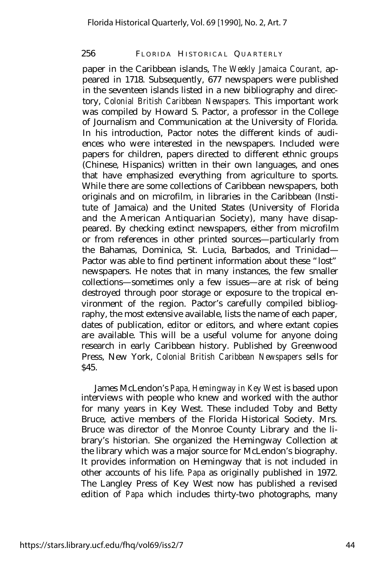paper in the Caribbean islands, *The Weekly Jamaica Courant,* appeared in 1718. Subsequently, 677 newspapers were published in the seventeen islands listed in a new bibliography and directory, *Colonial British Caribbean Newspapers.* This important work was compiled by Howard S. Pactor, a professor in the College of Journalism and Communication at the University of Florida. In his introduction, Pactor notes the different kinds of audiences who were interested in the newspapers. Included were papers for children, papers directed to different ethnic groups (Chinese, Hispanics) written in their own languages, and ones that have emphasized everything from agriculture to sports. While there are some collections of Caribbean newspapers, both originals and on microfilm, in libraries in the Caribbean (Institute of Jamaica) and the United States (University of Florida and the American Antiquarian Society), many have disappeared. By checking extinct newspapers, either from microfilm or from references in other printed sources— particularly from the Bahamas, Dominica, St. Lucia, Barbados, and Trinidad— Pactor was able to find pertinent information about these "lost" newspapers. He notes that in many instances, the few smaller collections— sometimes only a few issues— are at risk of being destroyed through poor storage or exposure to the tropical environment of the region. Pactor's carefully compiled bibliography, the most extensive available, lists the name of each paper, dates of publication, editor or editors, and where extant copies are available. This will be a useful volume for anyone doing research in early Caribbean history. Published by Greenwood Press, New York, *Colonial British Caribbean Newspapers* sells for \$45.

James McLendon's *Papa, Hemingway in Key West* is based upon interviews with people who knew and worked with the author for many years in Key West. These included Toby and Betty Bruce, active members of the Florida Historical Society. Mrs. Bruce was director of the Monroe County Library and the library's historian. She organized the Hemingway Collection at the library which was a major source for McLendon's biography. It provides information on Hemingway that is not included in other accounts of his life. *Papa* as originally published in 1972. The Langley Press of Key West now has published a revised edition of *Papa* which includes thirty-two photographs, many